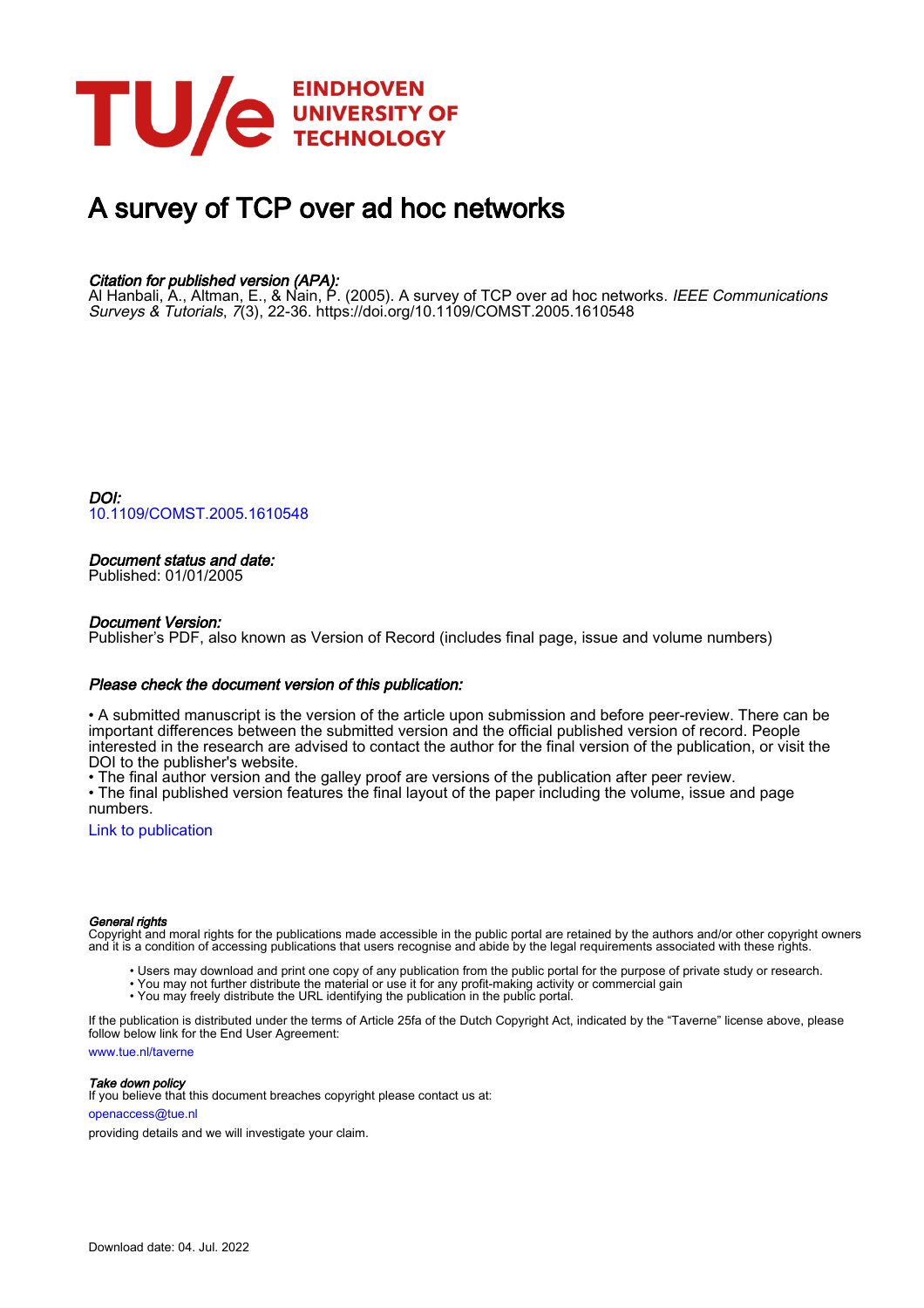

## A survey of TCP over ad hoc networks

#### Citation for published version (APA):

Al Hanbali, A., Altman, E., & Nain, P. (2005). A survey of TCP over ad hoc networks. *IEEE Communications* Surveys & Tutorials, 7(3), 22-36. <https://doi.org/10.1109/COMST.2005.1610548>

DOI: [10.1109/COMST.2005.1610548](https://doi.org/10.1109/COMST.2005.1610548)

#### Document status and date:

Published: 01/01/2005

#### Document Version:

Publisher's PDF, also known as Version of Record (includes final page, issue and volume numbers)

#### Please check the document version of this publication:

• A submitted manuscript is the version of the article upon submission and before peer-review. There can be important differences between the submitted version and the official published version of record. People interested in the research are advised to contact the author for the final version of the publication, or visit the DOI to the publisher's website.

• The final author version and the galley proof are versions of the publication after peer review.

• The final published version features the final layout of the paper including the volume, issue and page numbers.

[Link to publication](https://research.tue.nl/en/publications/c09522bd-671b-4298-8fda-e2e87aef8125)

#### General rights

Copyright and moral rights for the publications made accessible in the public portal are retained by the authors and/or other copyright owners and it is a condition of accessing publications that users recognise and abide by the legal requirements associated with these rights.

- Users may download and print one copy of any publication from the public portal for the purpose of private study or research.
- You may not further distribute the material or use it for any profit-making activity or commercial gain
- You may freely distribute the URL identifying the publication in the public portal.

If the publication is distributed under the terms of Article 25fa of the Dutch Copyright Act, indicated by the "Taverne" license above, please follow below link for the End User Agreement:

www.tue.nl/taverne

**Take down policy**<br>If you believe that this document breaches copyright please contact us at:

openaccess@tue.nl

providing details and we will investigate your claim.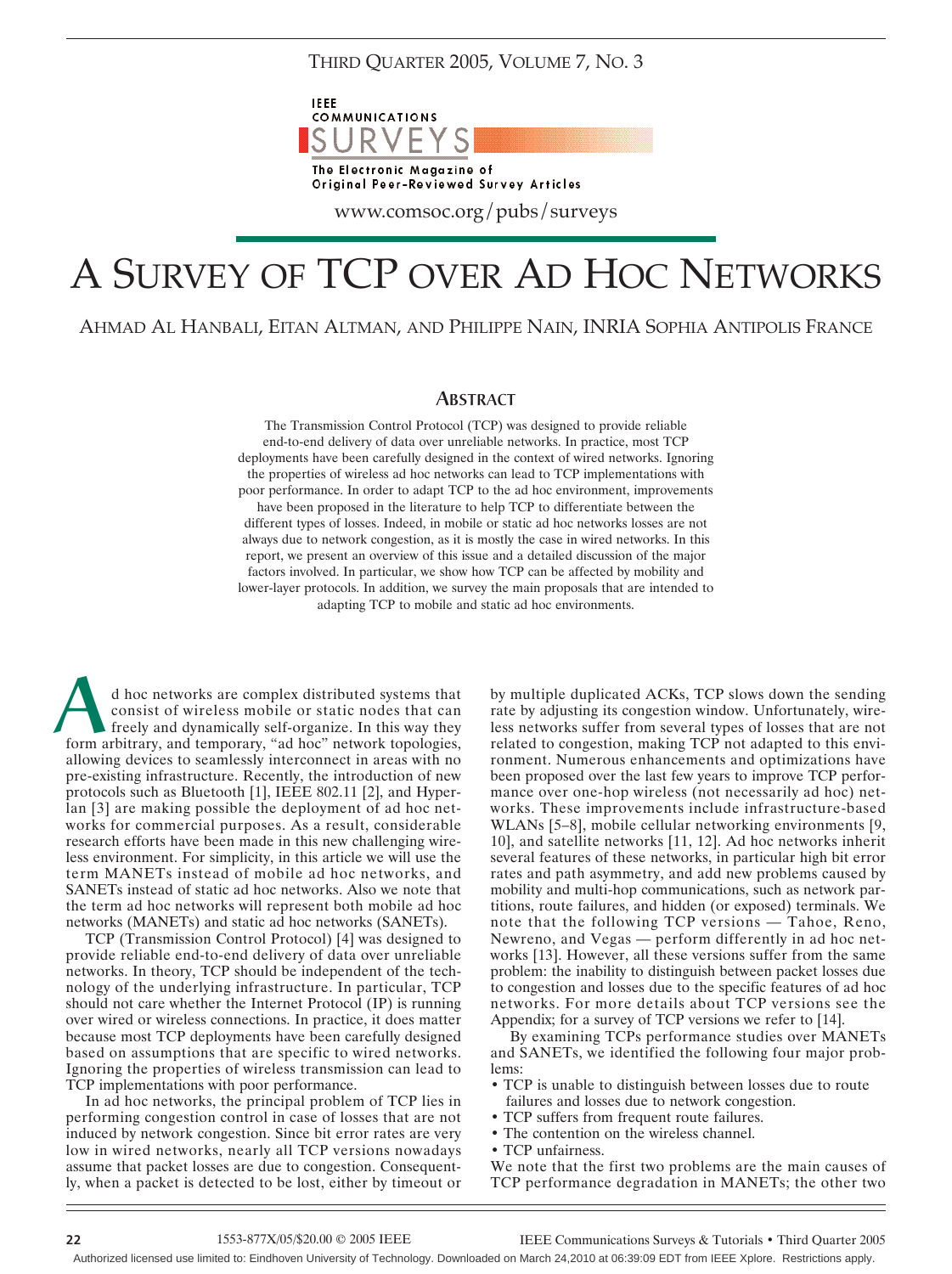#### THIRD QUARTER 2005, VOLUME 7, NO. 3



www.comsoc.org/pubs/surveys

# A SURVEY OF TCP OVER AD HOC NETWORKS

AHMAD AL HANBALI, EITAN ALTMAN, AND PHILIPPE NAIN, INRIA SOPHIA ANTIPOLIS FRANCE

#### **ABSTRACT**

The Transmission Control Protocol (TCP) was designed to provide reliable end-to-end delivery of data over unreliable networks. In practice, most TCP deployments have been carefully designed in the context of wired networks. Ignoring the properties of wireless ad hoc networks can lead to TCP implementations with poor performance. In order to adapt TCP to the ad hoc environment, improvements have been proposed in the literature to help TCP to differentiate between the different types of losses. Indeed, in mobile or static ad hoc networks losses are not always due to network congestion, as it is mostly the case in wired networks. In this report, we present an overview of this issue and a detailed discussion of the major factors involved. In particular, we show how TCP can be affected by mobility and lower-layer protocols. In addition, we survey the main proposals that are intended to adapting TCP to mobile and static ad hoc environments.

d hoc networks are complex distributed systems that consist of wireless mobile or static nodes that can freely and dynamically self-organize. In this way they d hoc networks are complex distributed systems that consist of wireless mobile or static nodes that can freely and dynamically self-organize. In this way they form arbitrary, and temporary, "ad hoc" network topologies, allowing devices to seamlessly interconnect in areas with no pre-existing infrastructure. Recently, the introduction of new protocols such as Bluetooth [1], IEEE 802.11 [2], and Hyperlan [3] are making possible the deployment of ad hoc networks for commercial purposes. As a result, considerable research efforts have been made in this new challenging wireless environment. For simplicity, in this article we will use the term MANETs instead of mobile ad hoc networks, and SANETs instead of static ad hoc networks. Also we note that the term ad hoc networks will represent both mobile ad hoc networks (MANETs) and static ad hoc networks (SANETs).

TCP (Transmission Control Protocol) [4] was designed to provide reliable end-to-end delivery of data over unreliable networks. In theory, TCP should be independent of the technology of the underlying infrastructure. In particular, TCP should not care whether the Internet Protocol (IP) is running over wired or wireless connections. In practice, it does matter because most TCP deployments have been carefully designed based on assumptions that are specific to wired networks. Ignoring the properties of wireless transmission can lead to TCP implementations with poor performance.

In ad hoc networks, the principal problem of TCP lies in performing congestion control in case of losses that are not induced by network congestion. Since bit error rates are very low in wired networks, nearly all TCP versions nowadays assume that packet losses are due to congestion. Consequently, when a packet is detected to be lost, either by timeout or

by multiple duplicated ACKs, TCP slows down the sending rate by adjusting its congestion window. Unfortunately, wireless networks suffer from several types of losses that are not related to congestion, making TCP not adapted to this environment. Numerous enhancements and optimizations have been proposed over the last few years to improve TCP performance over one-hop wireless (not necessarily ad hoc) networks. These improvements include infrastructure-based WLANs [5–8], mobile cellular networking environments [9, 10], and satellite networks [11, 12]. Ad hoc networks inherit several features of these networks, in particular high bit error rates and path asymmetry, and add new problems caused by mobility and multi-hop communications, such as network partitions, route failures, and hidden (or exposed) terminals. We note that the following TCP versions — Tahoe, Reno, Newreno, and Vegas — perform differently in ad hoc networks [13]. However, all these versions suffer from the same problem: the inability to distinguish between packet losses due to congestion and losses due to the specific features of ad hoc networks. For more details about TCP versions see the Appendix; for a survey of TCP versions we refer to [14].

By examining TCPs performance studies over MANETs and SANETs, we identified the following four major problems:

- TCP is unable to distinguish between losses due to route failures and losses due to network congestion.
- TCP suffers from frequent route failures.
- The contention on the wireless channel.
- TCP unfairness.

We note that the first two problems are the main causes of TCP performance degradation in MANETs; the other two

**22** 1553-877X/05/\$20.00 © 2005 IEEE 16 IEEE Communications Surveys & Tutorials • Third Quarter 2005

Authorized licensed use limited to: Eindhoven University of Technology. Downloaded on March 24,2010 at 06:39:09 EDT from IEEE Xplore. Restrictions apply.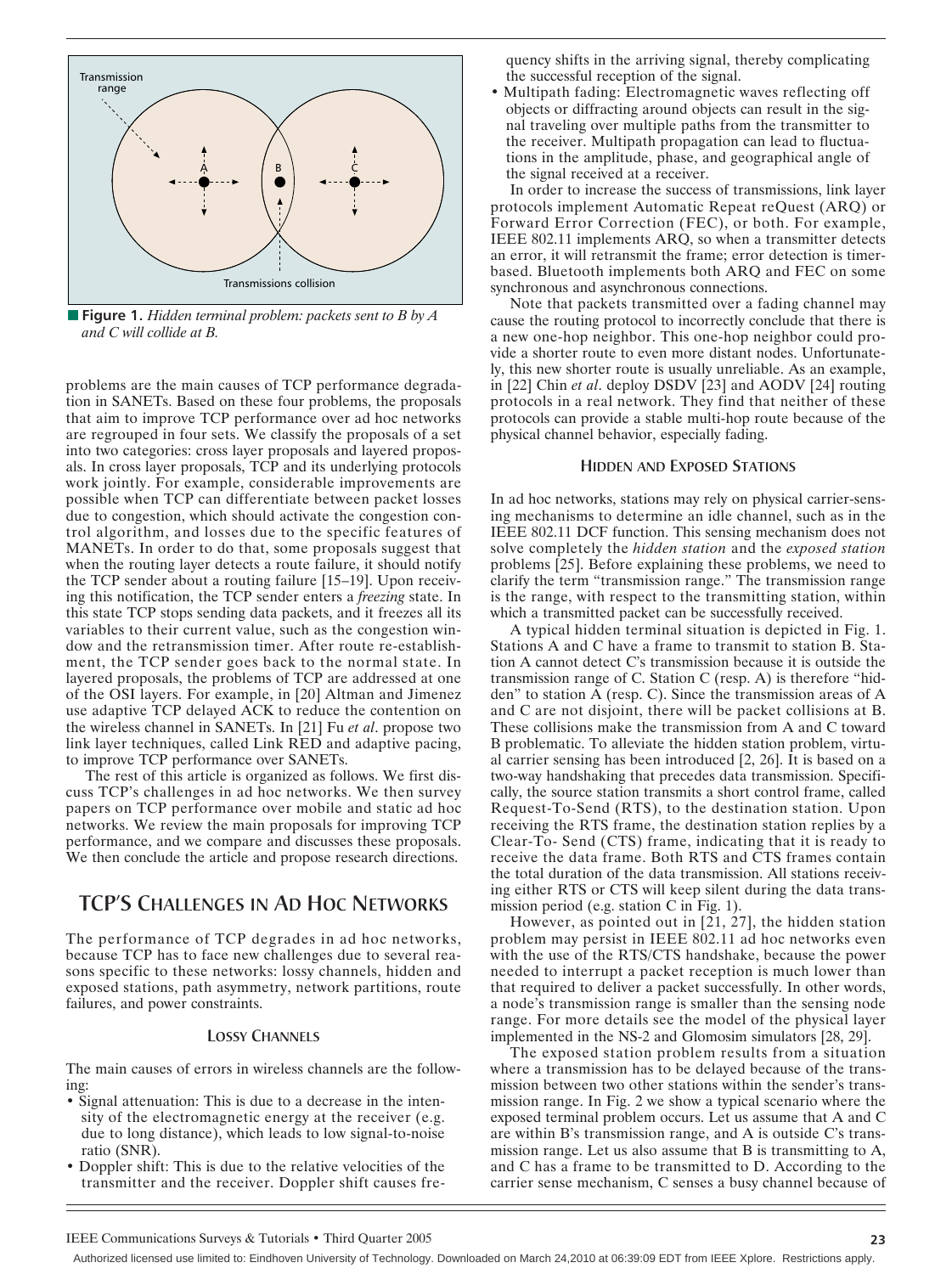

■ **Figure 1.** *Hidden terminal problem: packets sent to B by A and C will collide at B.*

problems are the main causes of TCP performance degradation in SANETs. Based on these four problems, the proposals that aim to improve TCP performance over ad hoc networks are regrouped in four sets. We classify the proposals of a set into two categories: cross layer proposals and layered proposals. In cross layer proposals, TCP and its underlying protocols work jointly. For example, considerable improvements are possible when TCP can differentiate between packet losses due to congestion, which should activate the congestion control algorithm, and losses due to the specific features of MANETs. In order to do that, some proposals suggest that when the routing layer detects a route failure, it should notify the TCP sender about a routing failure [15–19]. Upon receiving this notification, the TCP sender enters a *freezing* state. In this state TCP stops sending data packets, and it freezes all its variables to their current value, such as the congestion window and the retransmission timer. After route re-establishment, the TCP sender goes back to the normal state. In layered proposals, the problems of TCP are addressed at one of the OSI layers. For example, in [20] Altman and Jimenez use adaptive TCP delayed ACK to reduce the contention on the wireless channel in SANETs. In [21] Fu *et al*. propose two link layer techniques, called Link RED and adaptive pacing, to improve TCP performance over SANETs.

The rest of this article is organized as follows. We first discuss TCP's challenges in ad hoc networks. We then survey papers on TCP performance over mobile and static ad hoc networks. We review the main proposals for improving TCP performance, and we compare and discusses these proposals. We then conclude the article and propose research directions.

#### **TCP'S CHALLENGES IN AD HOC NETWORKS**

The performance of TCP degrades in ad hoc networks, because TCP has to face new challenges due to several reasons specific to these networks: lossy channels, hidden and exposed stations, path asymmetry, network partitions, route failures, and power constraints.

#### **LOSSY CHANNELS**

The main causes of errors in wireless channels are the following:

- Signal attenuation: This is due to a decrease in the intensity of the electromagnetic energy at the receiver (e.g. due to long distance), which leads to low signal-to-noise ratio (SNR).
- Doppler shift: This is due to the relative velocities of the transmitter and the receiver. Doppler shift causes fre-

quency shifts in the arriving signal, thereby complicating the successful reception of the signal.

• Multipath fading: Electromagnetic waves reflecting off objects or diffracting around objects can result in the signal traveling over multiple paths from the transmitter to the receiver. Multipath propagation can lead to fluctuations in the amplitude, phase, and geographical angle of the signal received at a receiver.

In order to increase the success of transmissions, link layer protocols implement Automatic Repeat reQuest (ARQ) or Forward Error Correction (FEC), or both. For example, IEEE 802.11 implements ARQ, so when a transmitter detects an error, it will retransmit the frame; error detection is timerbased. Bluetooth implements both ARQ and FEC on some synchronous and asynchronous connections.

Note that packets transmitted over a fading channel may cause the routing protocol to incorrectly conclude that there is a new one-hop neighbor. This one-hop neighbor could provide a shorter route to even more distant nodes. Unfortunately, this new shorter route is usually unreliable. As an example, in [22] Chin *et al*. deploy DSDV [23] and AODV [24] routing protocols in a real network. They find that neither of these protocols can provide a stable multi-hop route because of the physical channel behavior, especially fading.

#### **HIDDEN AND EXPOSED STATIONS**

In ad hoc networks, stations may rely on physical carrier-sensing mechanisms to determine an idle channel, such as in the IEEE 802.11 DCF function. This sensing mechanism does not solve completely the *hidden station* and the *exposed station* problems [25]. Before explaining these problems, we need to clarify the term "transmission range." The transmission range is the range, with respect to the transmitting station, within which a transmitted packet can be successfully received.

A typical hidden terminal situation is depicted in Fig. 1. Stations A and C have a frame to transmit to station B. Station A cannot detect C's transmission because it is outside the transmission range of C. Station C (resp. A) is therefore "hidden" to station A (resp. C). Since the transmission areas of A and C are not disjoint, there will be packet collisions at B. These collisions make the transmission from A and C toward B problematic. To alleviate the hidden station problem, virtual carrier sensing has been introduced [2, 26]. It is based on a two-way handshaking that precedes data transmission. Specifically, the source station transmits a short control frame, called Request-To-Send (RTS), to the destination station. Upon receiving the RTS frame, the destination station replies by a Clear-To- Send (CTS) frame, indicating that it is ready to receive the data frame. Both RTS and CTS frames contain the total duration of the data transmission. All stations receiving either RTS or CTS will keep silent during the data transmission period (e.g. station C in Fig. 1).

However, as pointed out in [21, 27], the hidden station problem may persist in IEEE 802.11 ad hoc networks even with the use of the RTS/CTS handshake, because the power needed to interrupt a packet reception is much lower than that required to deliver a packet successfully. In other words, a node's transmission range is smaller than the sensing node range. For more details see the model of the physical layer implemented in the NS-2 and Glomosim simulators [28, 29].

The exposed station problem results from a situation where a transmission has to be delayed because of the transmission between two other stations within the sender's transmission range. In Fig. 2 we show a typical scenario where the exposed terminal problem occurs. Let us assume that A and C are within B's transmission range, and A is outside C's transmission range. Let us also assume that B is transmitting to A, and C has a frame to be transmitted to D. According to the carrier sense mechanism, C senses a busy channel because of

IEEE Communications Surveys & Tutorials • Third Quarter 2005 **23**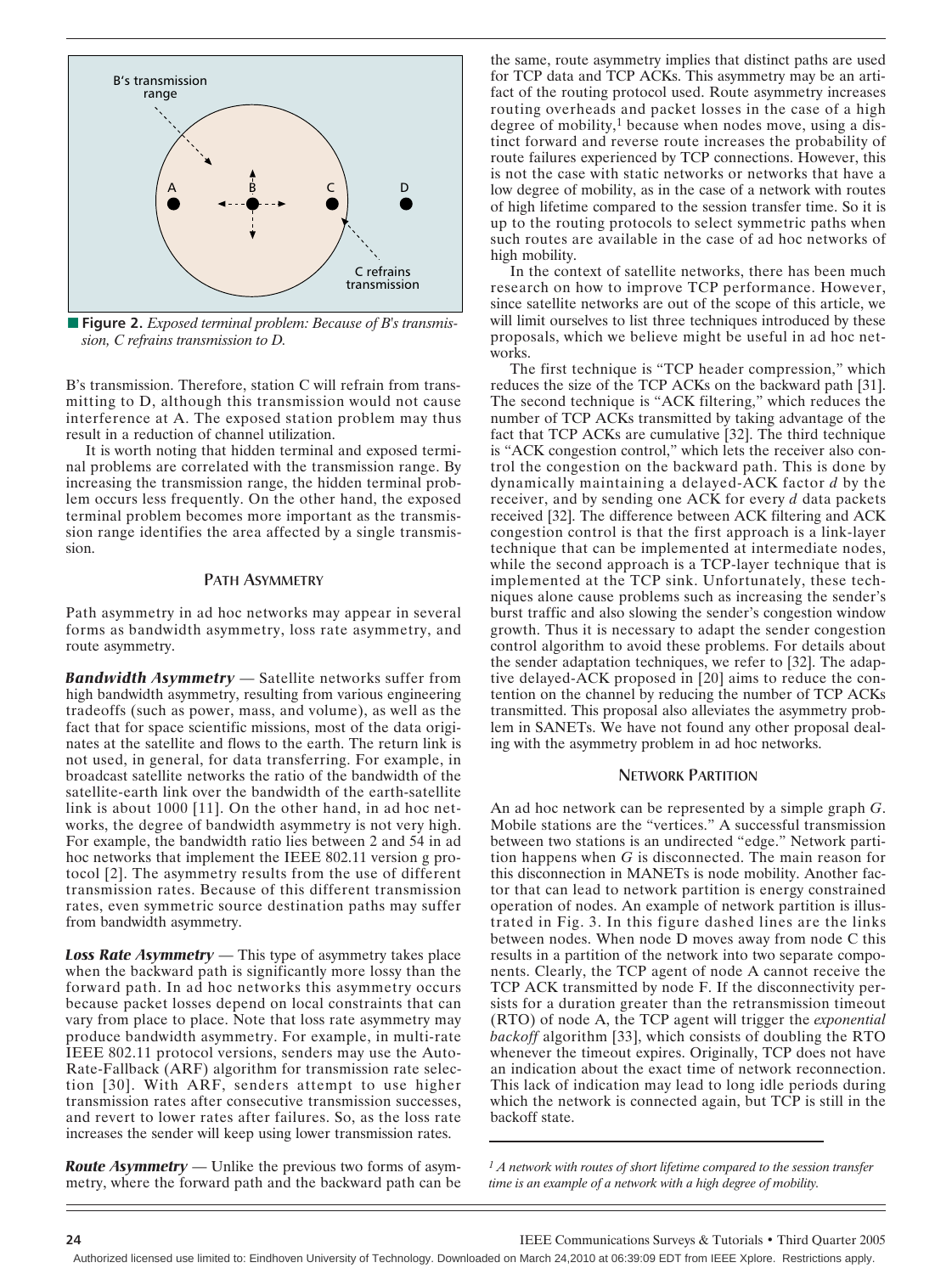

■ **Figure 2.** *Exposed terminal problem: Because of B's transmission, C refrains transmission to D.*

B's transmission. Therefore, station C will refrain from transmitting to D, although this transmission would not cause interference at A. The exposed station problem may thus result in a reduction of channel utilization.

It is worth noting that hidden terminal and exposed terminal problems are correlated with the transmission range. By increasing the transmission range, the hidden terminal problem occurs less frequently. On the other hand, the exposed terminal problem becomes more important as the transmission range identifies the area affected by a single transmission.

#### **PATH ASYMMETRY**

Path asymmetry in ad hoc networks may appear in several forms as bandwidth asymmetry, loss rate asymmetry, and route asymmetry.

*Bandwidth Asymmetry* — Satellite networks suffer from high bandwidth asymmetry, resulting from various engineering tradeoffs (such as power, mass, and volume), as well as the fact that for space scientific missions, most of the data originates at the satellite and flows to the earth. The return link is not used, in general, for data transferring. For example, in broadcast satellite networks the ratio of the bandwidth of the satellite-earth link over the bandwidth of the earth-satellite link is about 1000 [11]. On the other hand, in ad hoc networks, the degree of bandwidth asymmetry is not very high. For example, the bandwidth ratio lies between 2 and 54 in ad hoc networks that implement the IEEE 802.11 version g protocol [2]. The asymmetry results from the use of different transmission rates. Because of this different transmission rates, even symmetric source destination paths may suffer from bandwidth asymmetry.

*Loss Rate Asymmetry* — This type of asymmetry takes place when the backward path is significantly more lossy than the forward path. In ad hoc networks this asymmetry occurs because packet losses depend on local constraints that can vary from place to place. Note that loss rate asymmetry may produce bandwidth asymmetry. For example, in multi-rate IEEE 802.11 protocol versions, senders may use the Auto-Rate-Fallback (ARF) algorithm for transmission rate selection [30]. With ARF, senders attempt to use higher transmission rates after consecutive transmission successes, and revert to lower rates after failures. So, as the loss rate increases the sender will keep using lower transmission rates.

*Route Asymmetry* — Unlike the previous two forms of asymmetry, where the forward path and the backward path can be

the same, route asymmetry implies that distinct paths are used for TCP data and TCP ACKs. This asymmetry may be an artifact of the routing protocol used. Route asymmetry increases routing overheads and packet losses in the case of a high degree of mobility,<sup>1</sup> because when nodes move, using a distinct forward and reverse route increases the probability of route failures experienced by TCP connections. However, this is not the case with static networks or networks that have a low degree of mobility, as in the case of a network with routes of high lifetime compared to the session transfer time. So it is up to the routing protocols to select symmetric paths when such routes are available in the case of ad hoc networks of high mobility.

In the context of satellite networks, there has been much research on how to improve TCP performance. However, since satellite networks are out of the scope of this article, we will limit ourselves to list three techniques introduced by these proposals, which we believe might be useful in ad hoc networks.

The first technique is "TCP header compression," which reduces the size of the TCP ACKs on the backward path [31]. The second technique is "ACK filtering," which reduces the number of TCP ACKs transmitted by taking advantage of the fact that TCP ACKs are cumulative [32]. The third technique is "ACK congestion control," which lets the receiver also control the congestion on the backward path. This is done by dynamically maintaining a delayed-ACK factor *d* by the receiver, and by sending one ACK for every *d* data packets received [32]. The difference between ACK filtering and ACK congestion control is that the first approach is a link-layer technique that can be implemented at intermediate nodes, while the second approach is a TCP-layer technique that is implemented at the TCP sink. Unfortunately, these techniques alone cause problems such as increasing the sender's burst traffic and also slowing the sender's congestion window growth. Thus it is necessary to adapt the sender congestion control algorithm to avoid these problems. For details about the sender adaptation techniques, we refer to [32]. The adaptive delayed-ACK proposed in [20] aims to reduce the contention on the channel by reducing the number of TCP ACKs transmitted. This proposal also alleviates the asymmetry problem in SANETs. We have not found any other proposal dealing with the asymmetry problem in ad hoc networks.

#### **NETWORK PARTITION**

An ad hoc network can be represented by a simple graph *G*. Mobile stations are the "vertices." A successful transmission between two stations is an undirected "edge." Network partition happens when *G* is disconnected. The main reason for this disconnection in MANETs is node mobility. Another factor that can lead to network partition is energy constrained operation of nodes. An example of network partition is illustrated in Fig. 3. In this figure dashed lines are the links between nodes. When node D moves away from node C this results in a partition of the network into two separate components. Clearly, the TCP agent of node A cannot receive the TCP ACK transmitted by node F. If the disconnectivity persists for a duration greater than the retransmission timeout (RTO) of node A, the TCP agent will trigger the *exponential backoff* algorithm [33], which consists of doubling the RTO whenever the timeout expires. Originally, TCP does not have an indication about the exact time of network reconnection. This lack of indication may lead to long idle periods during which the network is connected again, but TCP is still in the backoff state.

*<sup>1</sup> A network with routes of short lifetime compared to the session transfer time is an example of a network with a high degree of mobility.*

Authorized licensed use limited to: Eindhoven University of Technology. Downloaded on March 24,2010 at 06:39:09 EDT from IEEE Xplore. Restrictions apply.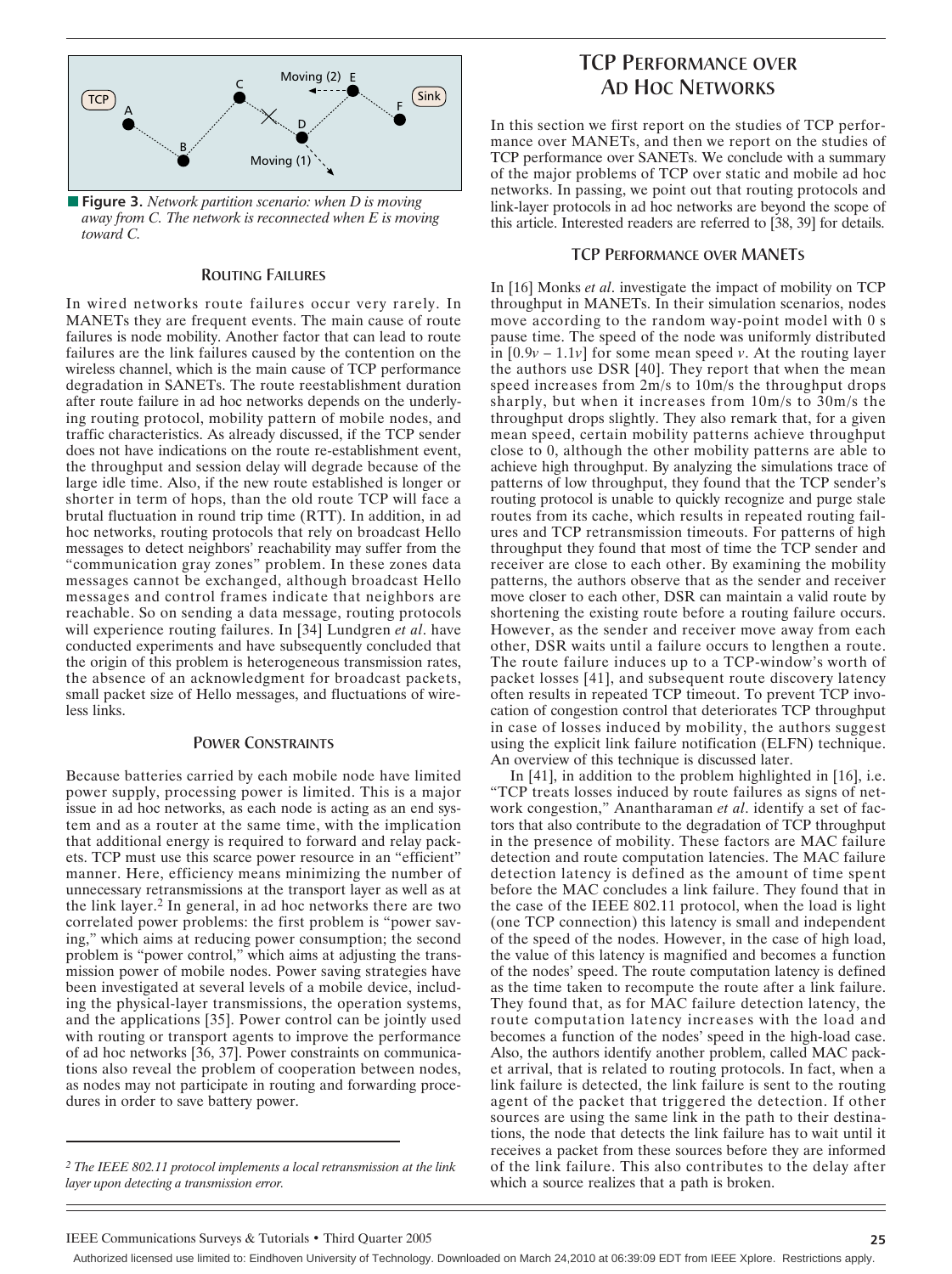

■ **Figure 3.** *Network partition scenario: when D is moving away from C. The network is reconnected when E is moving toward C.*

#### **ROUTING FAILURES**

In wired networks route failures occur very rarely. In MANETs they are frequent events. The main cause of route failures is node mobility. Another factor that can lead to route failures are the link failures caused by the contention on the wireless channel, which is the main cause of TCP performance degradation in SANETs. The route reestablishment duration after route failure in ad hoc networks depends on the underlying routing protocol, mobility pattern of mobile nodes, and traffic characteristics. As already discussed, if the TCP sender does not have indications on the route re-establishment event, the throughput and session delay will degrade because of the large idle time. Also, if the new route established is longer or shorter in term of hops, than the old route TCP will face a brutal fluctuation in round trip time (RTT). In addition, in ad hoc networks, routing protocols that rely on broadcast Hello messages to detect neighbors' reachability may suffer from the "communication gray zones" problem. In these zones data messages cannot be exchanged, although broadcast Hello messages and control frames indicate that neighbors are reachable. So on sending a data message, routing protocols will experience routing failures. In [34] Lundgren *et al*. have conducted experiments and have subsequently concluded that the origin of this problem is heterogeneous transmission rates, the absence of an acknowledgment for broadcast packets, small packet size of Hello messages, and fluctuations of wireless links.

#### **POWER CONSTRAINTS**

Because batteries carried by each mobile node have limited power supply, processing power is limited. This is a major issue in ad hoc networks, as each node is acting as an end system and as a router at the same time, with the implication that additional energy is required to forward and relay packets. TCP must use this scarce power resource in an "efficient" manner. Here, efficiency means minimizing the number of unnecessary retransmissions at the transport layer as well as at the link layer.2 In general, in ad hoc networks there are two correlated power problems: the first problem is "power saving," which aims at reducing power consumption; the second problem is "power control," which aims at adjusting the transmission power of mobile nodes. Power saving strategies have been investigated at several levels of a mobile device, including the physical-layer transmissions, the operation systems, and the applications [35]. Power control can be jointly used with routing or transport agents to improve the performance of ad hoc networks [36, 37]. Power constraints on communications also reveal the problem of cooperation between nodes, as nodes may not participate in routing and forwarding procedures in order to save battery power.

## **TCP PERFORMANCE OVER AD HOC NETWORKS**

In this section we first report on the studies of TCP performance over MANETs, and then we report on the studies of TCP performance over SANETs. We conclude with a summary of the major problems of TCP over static and mobile ad hoc networks. In passing, we point out that routing protocols and link-layer protocols in ad hoc networks are beyond the scope of this article. Interested readers are referred to [38, 39] for details.

#### **TCP PERFORMANCE OVER MANETS**

In [16] Monks *et al*. investigate the impact of mobility on TCP throughput in MANETs. In their simulation scenarios, nodes move according to the random way-point model with 0 s pause time. The speed of the node was uniformly distributed in  $[0.9v - 1.1v]$  for some mean speed *v*. At the routing layer the authors use DSR [40]. They report that when the mean speed increases from 2m/s to 10m/s the throughput drops sharply, but when it increases from 10m/s to 30m/s the throughput drops slightly. They also remark that, for a given mean speed, certain mobility patterns achieve throughput close to 0, although the other mobility patterns are able to achieve high throughput. By analyzing the simulations trace of patterns of low throughput, they found that the TCP sender's routing protocol is unable to quickly recognize and purge stale routes from its cache, which results in repeated routing failures and TCP retransmission timeouts. For patterns of high throughput they found that most of time the TCP sender and receiver are close to each other. By examining the mobility patterns, the authors observe that as the sender and receiver move closer to each other, DSR can maintain a valid route by shortening the existing route before a routing failure occurs. However, as the sender and receiver move away from each other, DSR waits until a failure occurs to lengthen a route. The route failure induces up to a TCP-window's worth of packet losses [41], and subsequent route discovery latency often results in repeated TCP timeout. To prevent TCP invocation of congestion control that deteriorates TCP throughput in case of losses induced by mobility, the authors suggest using the explicit link failure notification (ELFN) technique. An overview of this technique is discussed later.

In [41], in addition to the problem highlighted in [16], i.e. "TCP treats losses induced by route failures as signs of network congestion," Anantharaman *et al*. identify a set of factors that also contribute to the degradation of TCP throughput in the presence of mobility. These factors are MAC failure detection and route computation latencies. The MAC failure detection latency is defined as the amount of time spent before the MAC concludes a link failure. They found that in the case of the IEEE 802.11 protocol, when the load is light (one TCP connection) this latency is small and independent of the speed of the nodes. However, in the case of high load, the value of this latency is magnified and becomes a function of the nodes' speed. The route computation latency is defined as the time taken to recompute the route after a link failure. They found that, as for MAC failure detection latency, the route computation latency increases with the load and becomes a function of the nodes' speed in the high-load case. Also, the authors identify another problem, called MAC packet arrival, that is related to routing protocols. In fact, when a link failure is detected, the link failure is sent to the routing agent of the packet that triggered the detection. If other sources are using the same link in the path to their destinations, the node that detects the link failure has to wait until it receives a packet from these sources before they are informed of the link failure. This also contributes to the delay after which a source realizes that a path is broken.

*<sup>2</sup> The IEEE 802.11 protocol implements a local retransmission at the link layer upon detecting a transmission error.*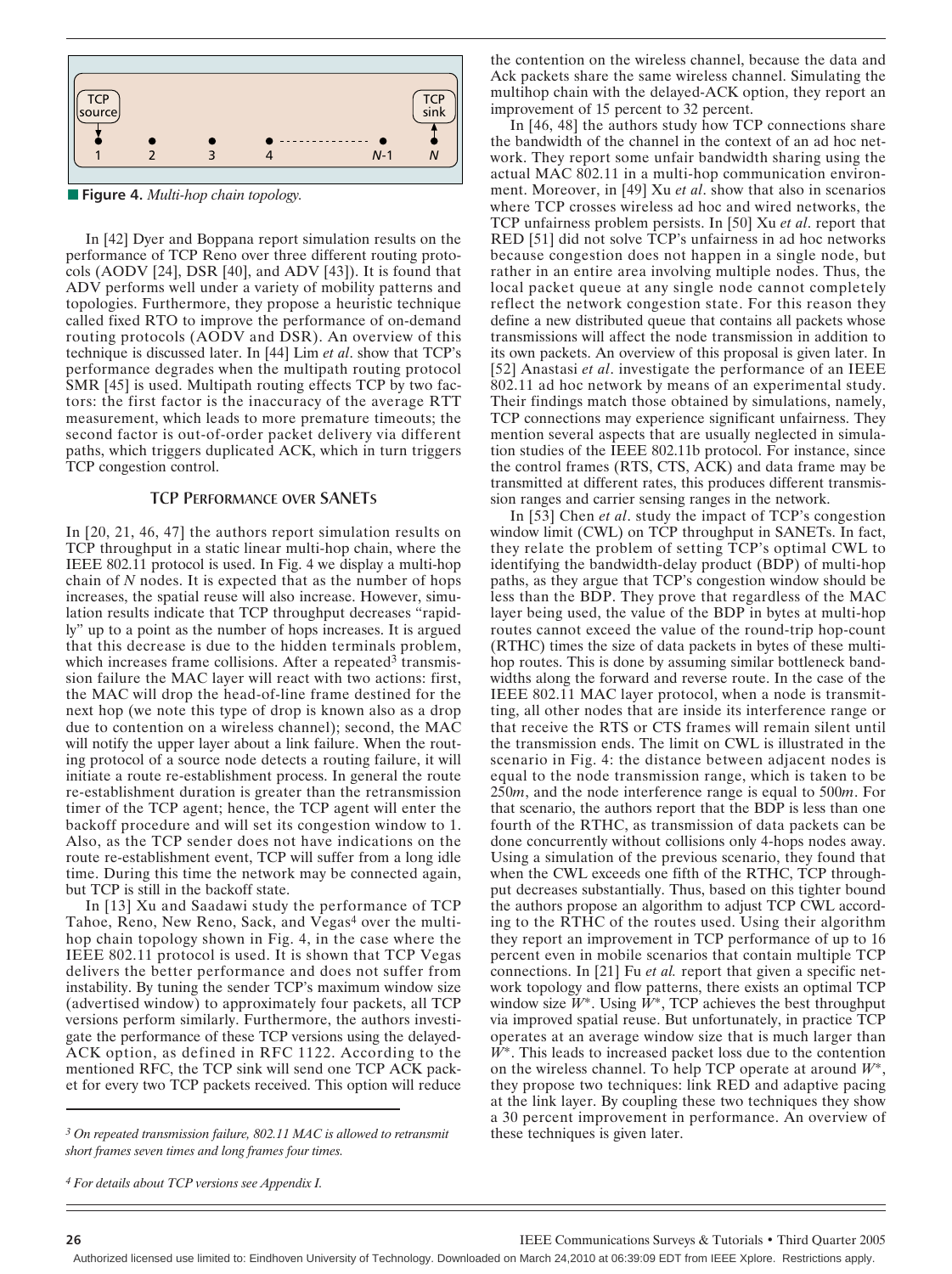

**■ Figure 4.** *Multi-hop chain topology.*

In [42] Dyer and Boppana report simulation results on the performance of TCP Reno over three different routing protocols (AODV [24], DSR [40], and ADV [43]). It is found that ADV performs well under a variety of mobility patterns and topologies. Furthermore, they propose a heuristic technique called fixed RTO to improve the performance of on-demand routing protocols (AODV and DSR). An overview of this technique is discussed later. In [44] Lim *et al*. show that TCP's performance degrades when the multipath routing protocol SMR [45] is used. Multipath routing effects TCP by two factors: the first factor is the inaccuracy of the average RTT measurement, which leads to more premature timeouts; the second factor is out-of-order packet delivery via different paths, which triggers duplicated ACK, which in turn triggers TCP congestion control.

#### **TCP PERFORMANCE OVER SANETS**

In [20, 21, 46, 47] the authors report simulation results on TCP throughput in a static linear multi-hop chain, where the IEEE 802.11 protocol is used. In Fig. 4 we display a multi-hop chain of *N* nodes. It is expected that as the number of hops increases, the spatial reuse will also increase. However, simulation results indicate that TCP throughput decreases "rapidly" up to a point as the number of hops increases. It is argued that this decrease is due to the hidden terminals problem, which increases frame collisions. After a repeated<sup>3</sup> transmission failure the MAC layer will react with two actions: first, the MAC will drop the head-of-line frame destined for the next hop (we note this type of drop is known also as a drop due to contention on a wireless channel); second, the MAC will notify the upper layer about a link failure. When the routing protocol of a source node detects a routing failure, it will initiate a route re-establishment process. In general the route re-establishment duration is greater than the retransmission timer of the TCP agent; hence, the TCP agent will enter the backoff procedure and will set its congestion window to 1. Also, as the TCP sender does not have indications on the route re-establishment event, TCP will suffer from a long idle time. During this time the network may be connected again, but TCP is still in the backoff state.

In [13] Xu and Saadawi study the performance of TCP Tahoe, Reno, New Reno, Sack, and Vegas<sup>4</sup> over the multihop chain topology shown in Fig. 4, in the case where the IEEE 802.11 protocol is used. It is shown that TCP Vegas delivers the better performance and does not suffer from instability. By tuning the sender TCP's maximum window size (advertised window) to approximately four packets, all TCP versions perform similarly. Furthermore, the authors investigate the performance of these TCP versions using the delayed-ACK option, as defined in RFC 1122. According to the mentioned RFC, the TCP sink will send one TCP ACK packet for every two TCP packets received. This option will reduce

the contention on the wireless channel, because the data and Ack packets share the same wireless channel. Simulating the multihop chain with the delayed-ACK option, they report an improvement of 15 percent to 32 percent.

In [46, 48] the authors study how TCP connections share the bandwidth of the channel in the context of an ad hoc network. They report some unfair bandwidth sharing using the actual MAC 802.11 in a multi-hop communication environment. Moreover, in [49] Xu *et al*. show that also in scenarios where TCP crosses wireless ad hoc and wired networks, the TCP unfairness problem persists. In [50] Xu *et al*. report that RED [51] did not solve TCP's unfairness in ad hoc networks because congestion does not happen in a single node, but rather in an entire area involving multiple nodes. Thus, the local packet queue at any single node cannot completely reflect the network congestion state. For this reason they define a new distributed queue that contains all packets whose transmissions will affect the node transmission in addition to its own packets. An overview of this proposal is given later. In [52] Anastasi *et al*. investigate the performance of an IEEE 802.11 ad hoc network by means of an experimental study. Their findings match those obtained by simulations, namely, TCP connections may experience significant unfairness. They mention several aspects that are usually neglected in simulation studies of the IEEE 802.11b protocol. For instance, since the control frames (RTS, CTS, ACK) and data frame may be transmitted at different rates, this produces different transmission ranges and carrier sensing ranges in the network.

In [53] Chen *et al*. study the impact of TCP's congestion window limit (CWL) on TCP throughput in SANETs. In fact, they relate the problem of setting TCP's optimal CWL to identifying the bandwidth-delay product (BDP) of multi-hop paths, as they argue that TCP's congestion window should be less than the BDP. They prove that regardless of the MAC layer being used, the value of the BDP in bytes at multi-hop routes cannot exceed the value of the round-trip hop-count (RTHC) times the size of data packets in bytes of these multihop routes. This is done by assuming similar bottleneck bandwidths along the forward and reverse route. In the case of the IEEE 802.11 MAC layer protocol, when a node is transmitting, all other nodes that are inside its interference range or that receive the RTS or CTS frames will remain silent until the transmission ends. The limit on CWL is illustrated in the scenario in Fig. 4: the distance between adjacent nodes is equal to the node transmission range, which is taken to be 250*m*, and the node interference range is equal to 500*m*. For that scenario, the authors report that the BDP is less than one fourth of the RTHC, as transmission of data packets can be done concurrently without collisions only 4-hops nodes away. Using a simulation of the previous scenario, they found that when the CWL exceeds one fifth of the RTHC, TCP throughput decreases substantially. Thus, based on this tighter bound the authors propose an algorithm to adjust TCP CWL according to the RTHC of the routes used. Using their algorithm they report an improvement in TCP performance of up to 16 percent even in mobile scenarios that contain multiple TCP connections. In [21] Fu *et al.* report that given a specific network topology and flow patterns, there exists an optimal TCP window size  $W^*$ . Using  $\bar{W}^*$ , TCP achieves the best throughput via improved spatial reuse. But unfortunately, in practice TCP operates at an average window size that is much larger than *W*\*. This leads to increased packet loss due to the contention on the wireless channel. To help TCP operate at around *W*\*, they propose two techniques: link RED and adaptive pacing at the link layer. By coupling these two techniques they show a 30 percent improvement in performance. An overview of these techniques is given later.

*<sup>3</sup> On repeated transmission failure, 802.11 MAC is allowed to retransmit short frames seven times and long frames four times.*

*<sup>4</sup> For details about TCP versions see Appendix I.*

Authorized licensed use limited to: Eindhoven University of Technology. Downloaded on March 24,2010 at 06:39:09 EDT from IEEE Xplore. Restrictions apply.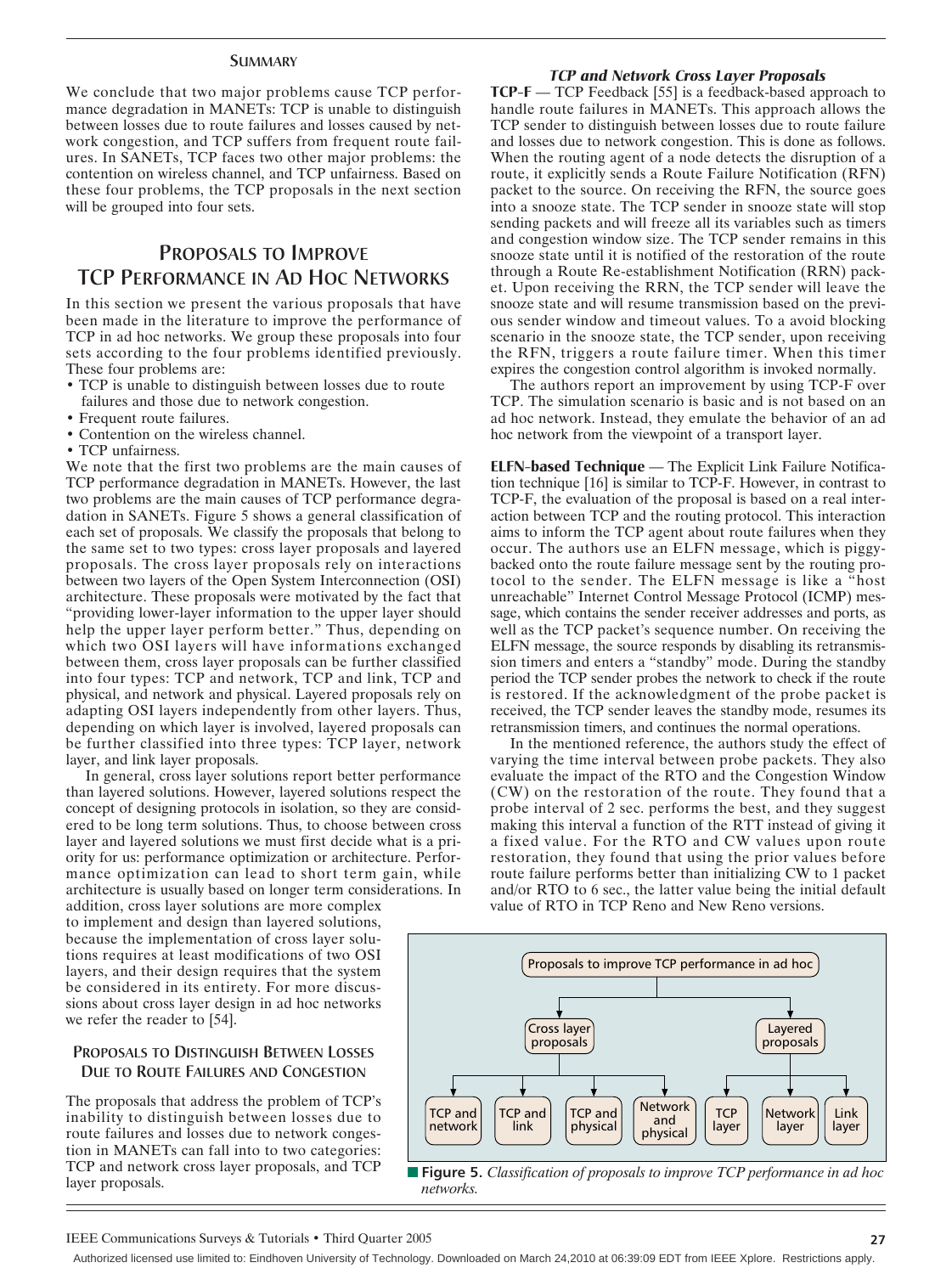#### **SUMMARY**

We conclude that two major problems cause TCP performance degradation in MANETs: TCP is unable to distinguish between losses due to route failures and losses caused by network congestion, and TCP suffers from frequent route failures. In SANETs, TCP faces two other major problems: the contention on wireless channel, and TCP unfairness. Based on these four problems, the TCP proposals in the next section will be grouped into four sets.

## **PROPOSALS TO IMPROVE TCP PERFORMANCE IN AD HOC NETWORKS**

In this section we present the various proposals that have been made in the literature to improve the performance of TCP in ad hoc networks. We group these proposals into four sets according to the four problems identified previously. These four problems are:

- TCP is unable to distinguish between losses due to route failures and those due to network congestion.
- Frequent route failures.
- Contention on the wireless channel.
- TCP unfairness.

We note that the first two problems are the main causes of TCP performance degradation in MANETs. However, the last two problems are the main causes of TCP performance degradation in SANETs. Figure 5 shows a general classification of each set of proposals. We classify the proposals that belong to the same set to two types: cross layer proposals and layered proposals. The cross layer proposals rely on interactions between two layers of the Open System Interconnection (OSI) architecture. These proposals were motivated by the fact that "providing lower-layer information to the upper layer should help the upper layer perform better." Thus, depending on which two OSI layers will have informations exchanged between them, cross layer proposals can be further classified into four types: TCP and network, TCP and link, TCP and physical, and network and physical. Layered proposals rely on adapting OSI layers independently from other layers. Thus, depending on which layer is involved, layered proposals can be further classified into three types: TCP layer, network layer, and link layer proposals.

In general, cross layer solutions report better performance than layered solutions. However, layered solutions respect the concept of designing protocols in isolation, so they are considered to be long term solutions. Thus, to choose between cross layer and layered solutions we must first decide what is a priority for us: performance optimization or architecture. Performance optimization can lead to short term gain, while architecture is usually based on longer term considerations. In

addition, cross layer solutions are more complex to implement and design than layered solutions, because the implementation of cross layer solutions requires at least modifications of two OSI layers, and their design requires that the system be considered in its entirety. For more discussions about cross layer design in ad hoc networks we refer the reader to [54].

#### **PROPOSALS TO DISTINGUISH BETWEEN LOSSES DUE TO ROUTE FAILURES AND CONGESTION**

The proposals that address the problem of TCP's inability to distinguish between losses due to route failures and losses due to network congestion in MANETs can fall into to two categories: TCP and network cross layer proposals, and TCP layer proposals.

#### *TCP and Network Cross Layer Proposals*

**TCP-F** — TCP Feedback [55] is a feedback-based approach to handle route failures in MANETs. This approach allows the TCP sender to distinguish between losses due to route failure and losses due to network congestion. This is done as follows. When the routing agent of a node detects the disruption of a route, it explicitly sends a Route Failure Notification (RFN) packet to the source. On receiving the RFN, the source goes into a snooze state. The TCP sender in snooze state will stop sending packets and will freeze all its variables such as timers and congestion window size. The TCP sender remains in this snooze state until it is notified of the restoration of the route through a Route Re-establishment Notification (RRN) packet. Upon receiving the RRN, the TCP sender will leave the snooze state and will resume transmission based on the previous sender window and timeout values. To a avoid blocking scenario in the snooze state, the TCP sender, upon receiving the RFN, triggers a route failure timer. When this timer expires the congestion control algorithm is invoked normally.

The authors report an improvement by using TCP-F over TCP. The simulation scenario is basic and is not based on an ad hoc network. Instead, they emulate the behavior of an ad hoc network from the viewpoint of a transport layer.

**ELFN-based Technique** — The Explicit Link Failure Notification technique [16] is similar to TCP-F. However, in contrast to TCP-F, the evaluation of the proposal is based on a real interaction between TCP and the routing protocol. This interaction aims to inform the TCP agent about route failures when they occur. The authors use an ELFN message, which is piggybacked onto the route failure message sent by the routing protocol to the sender. The ELFN message is like a "host unreachable" Internet Control Message Protocol (ICMP) message, which contains the sender receiver addresses and ports, as well as the TCP packet's sequence number. On receiving the ELFN message, the source responds by disabling its retransmission timers and enters a "standby" mode. During the standby period the TCP sender probes the network to check if the route is restored. If the acknowledgment of the probe packet is received, the TCP sender leaves the standby mode, resumes its retransmission timers, and continues the normal operations.

In the mentioned reference, the authors study the effect of varying the time interval between probe packets. They also evaluate the impact of the RTO and the Congestion Window (CW) on the restoration of the route. They found that a probe interval of 2 sec. performs the best, and they suggest making this interval a function of the RTT instead of giving it a fixed value. For the RTO and CW values upon route restoration, they found that using the prior values before route failure performs better than initializing CW to 1 packet and/or RTO to 6 sec., the latter value being the initial default value of RTO in TCP Reno and New Reno versions.



#### IEEE Communications Surveys & Tutorials • Third Quarter 2005 **27**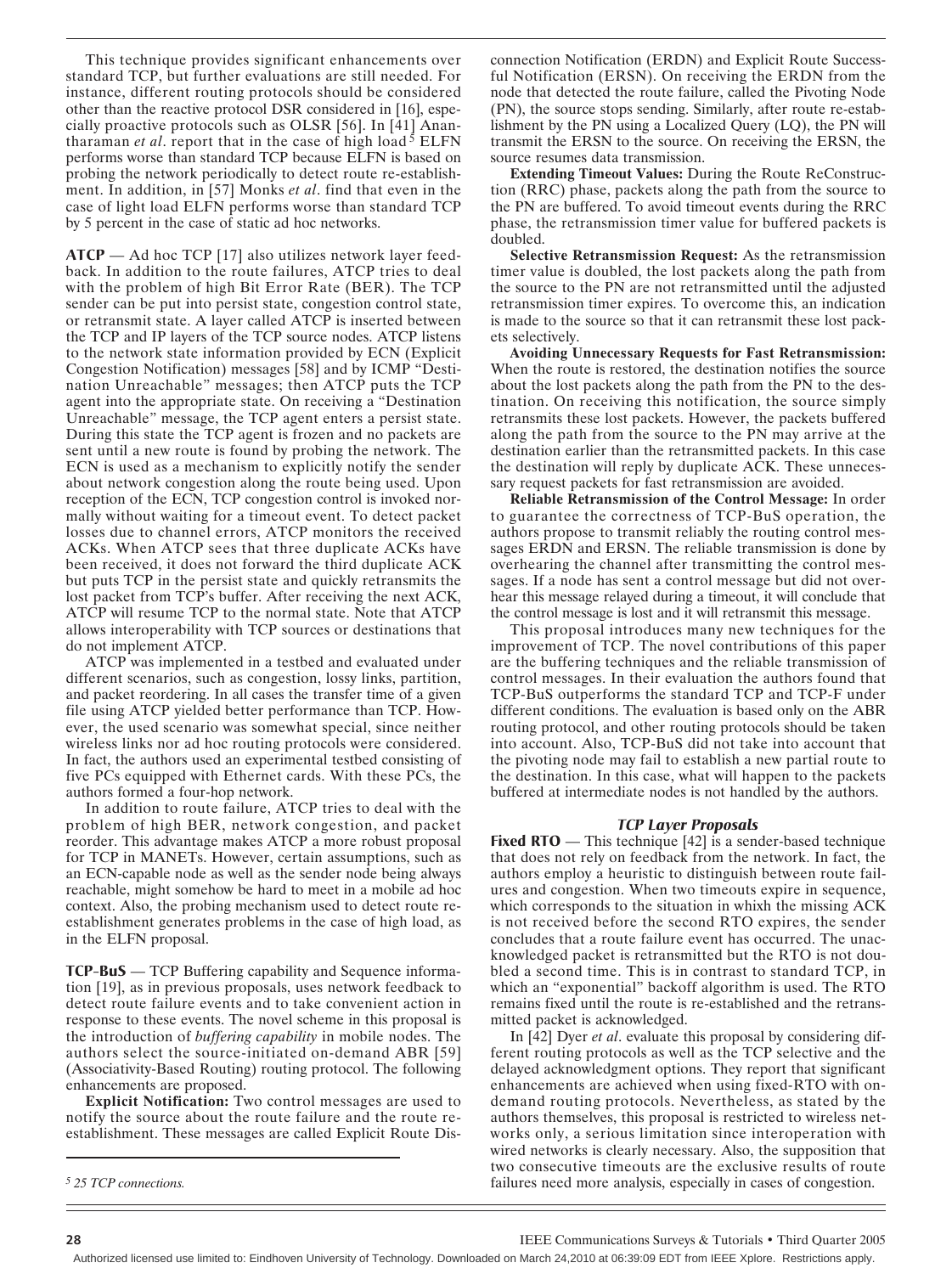This technique provides significant enhancements over standard TCP, but further evaluations are still needed. For instance, different routing protocols should be considered other than the reactive protocol DSR considered in [16], especially proactive protocols such as OLSR [56]. In [41] Anantharaman *et al.* report that in the case of high load<sup>5</sup> ELFN performs worse than standard TCP because ELFN is based on probing the network periodically to detect route re-establishment. In addition, in [57] Monks *et al*. find that even in the case of light load ELFN performs worse than standard TCP by 5 percent in the case of static ad hoc networks.

**ATCP** — Ad hoc TCP [17] also utilizes network layer feedback. In addition to the route failures, ATCP tries to deal with the problem of high Bit Error Rate (BER). The TCP sender can be put into persist state, congestion control state, or retransmit state. A layer called ATCP is inserted between the TCP and IP layers of the TCP source nodes. ATCP listens to the network state information provided by ECN (Explicit Congestion Notification) messages [58] and by ICMP "Destination Unreachable" messages; then ATCP puts the TCP agent into the appropriate state. On receiving a "Destination Unreachable" message, the TCP agent enters a persist state. During this state the TCP agent is frozen and no packets are sent until a new route is found by probing the network. The ECN is used as a mechanism to explicitly notify the sender about network congestion along the route being used. Upon reception of the ECN, TCP congestion control is invoked normally without waiting for a timeout event. To detect packet losses due to channel errors, ATCP monitors the received ACKs. When ATCP sees that three duplicate ACKs have been received, it does not forward the third duplicate ACK but puts TCP in the persist state and quickly retransmits the lost packet from TCP's buffer. After receiving the next ACK, ATCP will resume TCP to the normal state. Note that ATCP allows interoperability with TCP sources or destinations that do not implement ATCP.

ATCP was implemented in a testbed and evaluated under different scenarios, such as congestion, lossy links, partition, and packet reordering. In all cases the transfer time of a given file using ATCP yielded better performance than TCP. However, the used scenario was somewhat special, since neither wireless links nor ad hoc routing protocols were considered. In fact, the authors used an experimental testbed consisting of five PCs equipped with Ethernet cards. With these PCs, the authors formed a four-hop network.

In addition to route failure, ATCP tries to deal with the problem of high BER, network congestion, and packet reorder. This advantage makes ATCP a more robust proposal for TCP in MANETs. However, certain assumptions, such as an ECN-capable node as well as the sender node being always reachable, might somehow be hard to meet in a mobile ad hoc context. Also, the probing mechanism used to detect route reestablishment generates problems in the case of high load, as in the ELFN proposal.

**TCP-BuS** — TCP Buffering capability and Sequence information [19], as in previous proposals, uses network feedback to detect route failure events and to take convenient action in response to these events. The novel scheme in this proposal is the introduction of *buffering capability* in mobile nodes. The authors select the source-initiated on-demand ABR [59] (Associativity-Based Routing) routing protocol. The following enhancements are proposed.

**Explicit Notification:** Two control messages are used to notify the source about the route failure and the route reestablishment. These messages are called Explicit Route Disconnection Notification (ERDN) and Explicit Route Successful Notification (ERSN). On receiving the ERDN from the node that detected the route failure, called the Pivoting Node (PN), the source stops sending. Similarly, after route re-establishment by the PN using a Localized Query (LQ), the PN will transmit the ERSN to the source. On receiving the ERSN, the source resumes data transmission.

**Extending Timeout Values:** During the Route ReConstruction (RRC) phase, packets along the path from the source to the PN are buffered. To avoid timeout events during the RRC phase, the retransmission timer value for buffered packets is doubled.

**Selective Retransmission Request:** As the retransmission timer value is doubled, the lost packets along the path from the source to the PN are not retransmitted until the adjusted retransmission timer expires. To overcome this, an indication is made to the source so that it can retransmit these lost packets selectively.

**Avoiding Unnecessary Requests for Fast Retransmission:** When the route is restored, the destination notifies the source about the lost packets along the path from the PN to the destination. On receiving this notification, the source simply retransmits these lost packets. However, the packets buffered along the path from the source to the PN may arrive at the destination earlier than the retransmitted packets. In this case the destination will reply by duplicate ACK. These unnecessary request packets for fast retransmission are avoided.

**Reliable Retransmission of the Control Message:** In order to guarantee the correctness of TCP-BuS operation, the authors propose to transmit reliably the routing control messages ERDN and ERSN. The reliable transmission is done by overhearing the channel after transmitting the control messages. If a node has sent a control message but did not overhear this message relayed during a timeout, it will conclude that the control message is lost and it will retransmit this message.

This proposal introduces many new techniques for the improvement of TCP. The novel contributions of this paper are the buffering techniques and the reliable transmission of control messages. In their evaluation the authors found that TCP-BuS outperforms the standard TCP and TCP-F under different conditions. The evaluation is based only on the ABR routing protocol, and other routing protocols should be taken into account. Also, TCP-BuS did not take into account that the pivoting node may fail to establish a new partial route to the destination. In this case, what will happen to the packets buffered at intermediate nodes is not handled by the authors.

#### *TCP Layer Proposals*

**Fixed RTO** — This technique [42] is a sender-based technique that does not rely on feedback from the network. In fact, the authors employ a heuristic to distinguish between route failures and congestion. When two timeouts expire in sequence, which corresponds to the situation in whixh the missing ACK is not received before the second RTO expires, the sender concludes that a route failure event has occurred. The unacknowledged packet is retransmitted but the RTO is not doubled a second time. This is in contrast to standard TCP, in which an "exponential" backoff algorithm is used. The RTO remains fixed until the route is re-established and the retransmitted packet is acknowledged.

In [42] Dyer *et al*. evaluate this proposal by considering different routing protocols as well as the TCP selective and the delayed acknowledgment options. They report that significant enhancements are achieved when using fixed-RTO with ondemand routing protocols. Nevertheless, as stated by the authors themselves, this proposal is restricted to wireless networks only, a serious limitation since interoperation with wired networks is clearly necessary. Also, the supposition that two consecutive timeouts are the exclusive results of route failures need more analysis, especially in cases of congestion. *<sup>5</sup> 25 TCP connections.*

**<sup>28</sup>** IEEE Communications Surveys & Tutorials • Third Quarter 2005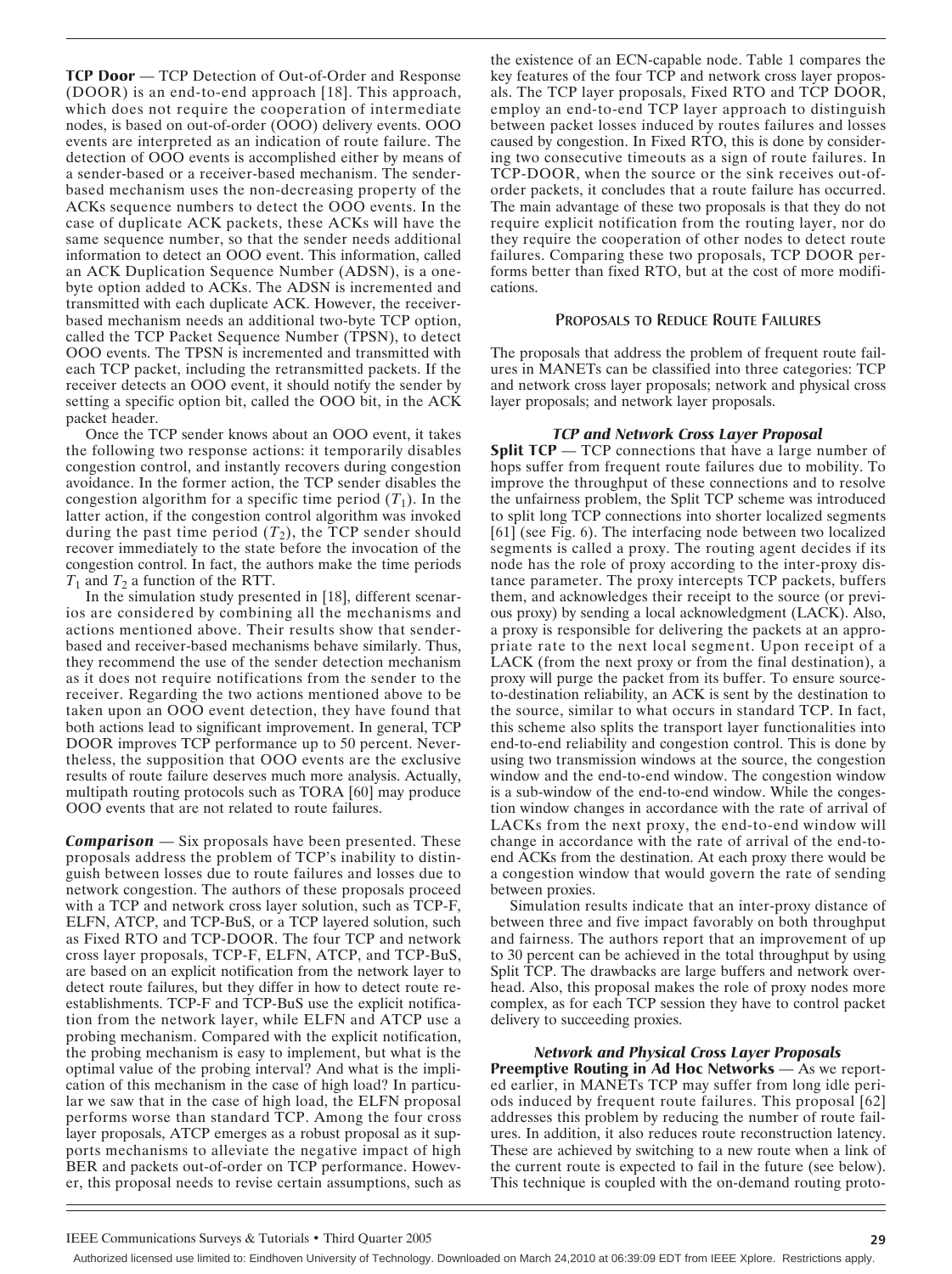**TCP Door** — TCP Detection of Out-of-Order and Response (DOOR) is an end-to-end approach [18]. This approach, which does not require the cooperation of intermediate nodes, is based on out-of-order (OOO) delivery events. OOO events are interpreted as an indication of route failure. The detection of OOO events is accomplished either by means of a sender-based or a receiver-based mechanism. The senderbased mechanism uses the non-decreasing property of the ACKs sequence numbers to detect the OOO events. In the case of duplicate ACK packets, these ACKs will have the same sequence number, so that the sender needs additional information to detect an OOO event. This information, called an ACK Duplication Sequence Number (ADSN), is a onebyte option added to ACKs. The ADSN is incremented and transmitted with each duplicate ACK. However, the receiverbased mechanism needs an additional two-byte TCP option, called the TCP Packet Sequence Number (TPSN), to detect OOO events. The TPSN is incremented and transmitted with each TCP packet, including the retransmitted packets. If the receiver detects an OOO event, it should notify the sender by setting a specific option bit, called the OOO bit, in the ACK packet header.

Once the TCP sender knows about an OOO event, it takes the following two response actions: it temporarily disables congestion control, and instantly recovers during congestion avoidance. In the former action, the TCP sender disables the congestion algorithm for a specific time period  $(T_1)$ . In the latter action, if the congestion control algorithm was invoked during the past time period  $(T_2)$ , the TCP sender should recover immediately to the state before the invocation of the congestion control. In fact, the authors make the time periods  $T_1$  and  $T_2$  a function of the RTT.

In the simulation study presented in [18], different scenarios are considered by combining all the mechanisms and actions mentioned above. Their results show that senderbased and receiver-based mechanisms behave similarly. Thus, they recommend the use of the sender detection mechanism as it does not require notifications from the sender to the receiver. Regarding the two actions mentioned above to be taken upon an OOO event detection, they have found that both actions lead to significant improvement. In general, TCP DOOR improves TCP performance up to 50 percent. Nevertheless, the supposition that OOO events are the exclusive results of route failure deserves much more analysis. Actually, multipath routing protocols such as TORA [60] may produce OOO events that are not related to route failures.

*Comparison* — Six proposals have been presented. These proposals address the problem of TCP's inability to distinguish between losses due to route failures and losses due to network congestion. The authors of these proposals proceed with a TCP and network cross layer solution, such as TCP-F, ELFN, ATCP, and TCP-BuS, or a TCP layered solution, such as Fixed RTO and TCP-DOOR. The four TCP and network cross layer proposals, TCP-F, ELFN, ATCP, and TCP-BuS, are based on an explicit notification from the network layer to detect route failures, but they differ in how to detect route reestablishments. TCP-F and TCP-BuS use the explicit notification from the network layer, while ELFN and ATCP use a probing mechanism. Compared with the explicit notification, the probing mechanism is easy to implement, but what is the optimal value of the probing interval? And what is the implication of this mechanism in the case of high load? In particular we saw that in the case of high load, the ELFN proposal performs worse than standard TCP. Among the four cross layer proposals, ATCP emerges as a robust proposal as it supports mechanisms to alleviate the negative impact of high BER and packets out-of-order on TCP performance. However, this proposal needs to revise certain assumptions, such as

the existence of an ECN-capable node. Table 1 compares the key features of the four TCP and network cross layer proposals. The TCP layer proposals, Fixed RTO and TCP DOOR, employ an end-to-end TCP layer approach to distinguish between packet losses induced by routes failures and losses caused by congestion. In Fixed RTO, this is done by considering two consecutive timeouts as a sign of route failures. In TCP-DOOR, when the source or the sink receives out-oforder packets, it concludes that a route failure has occurred. The main advantage of these two proposals is that they do not require explicit notification from the routing layer, nor do they require the cooperation of other nodes to detect route failures. Comparing these two proposals, TCP DOOR performs better than fixed RTO, but at the cost of more modifications.

#### **PROPOSALS TO REDUCE ROUTE FAILURES**

The proposals that address the problem of frequent route failures in MANETs can be classified into three categories: TCP and network cross layer proposals; network and physical cross layer proposals; and network layer proposals.

#### *TCP and Network Cross Layer Proposal*

**Split TCP** — TCP connections that have a large number of hops suffer from frequent route failures due to mobility. To improve the throughput of these connections and to resolve the unfairness problem, the Split TCP scheme was introduced to split long TCP connections into shorter localized segments [61] (see Fig. 6). The interfacing node between two localized segments is called a proxy. The routing agent decides if its node has the role of proxy according to the inter-proxy distance parameter. The proxy intercepts TCP packets, buffers them, and acknowledges their receipt to the source (or previous proxy) by sending a local acknowledgment (LACK). Also, a proxy is responsible for delivering the packets at an appropriate rate to the next local segment. Upon receipt of a LACK (from the next proxy or from the final destination), a proxy will purge the packet from its buffer. To ensure sourceto-destination reliability, an ACK is sent by the destination to the source, similar to what occurs in standard TCP. In fact, this scheme also splits the transport layer functionalities into end-to-end reliability and congestion control. This is done by using two transmission windows at the source, the congestion window and the end-to-end window. The congestion window is a sub-window of the end-to-end window. While the congestion window changes in accordance with the rate of arrival of LACKs from the next proxy, the end-to-end window will change in accordance with the rate of arrival of the end-toend ACKs from the destination. At each proxy there would be a congestion window that would govern the rate of sending between proxies.

Simulation results indicate that an inter-proxy distance of between three and five impact favorably on both throughput and fairness. The authors report that an improvement of up to 30 percent can be achieved in the total throughput by using Split TCP. The drawbacks are large buffers and network overhead. Also, this proposal makes the role of proxy nodes more complex, as for each TCP session they have to control packet delivery to succeeding proxies.

#### *Network and Physical Cross Layer Proposals*

**Preemptive Routing in Ad Hoc Networks** — As we reported earlier, in MANETs TCP may suffer from long idle periods induced by frequent route failures. This proposal [62] addresses this problem by reducing the number of route failures. In addition, it also reduces route reconstruction latency. These are achieved by switching to a new route when a link of the current route is expected to fail in the future (see below). This technique is coupled with the on-demand routing proto-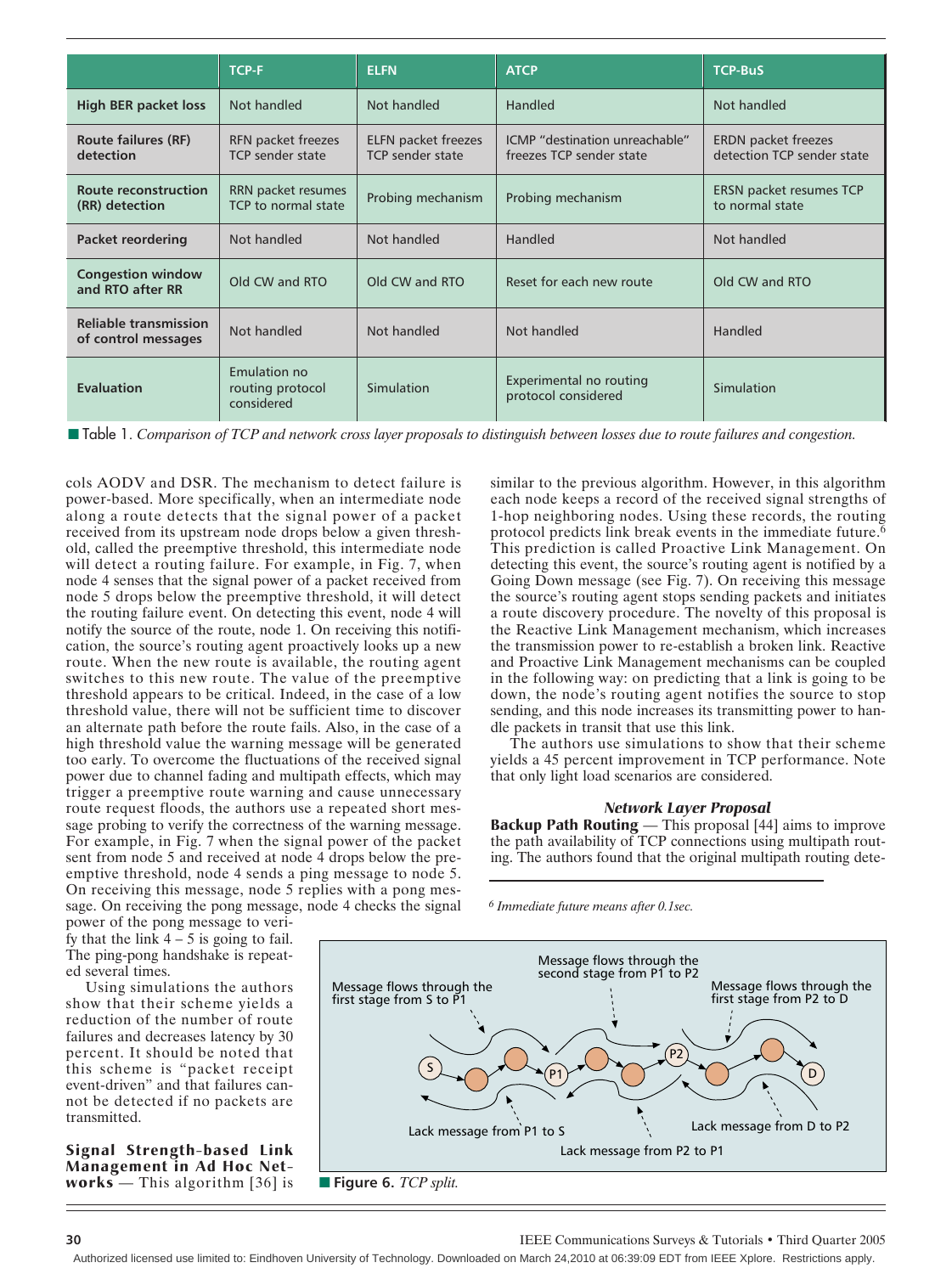|                                                     | <b>TCP-F</b>                                   | <b>ELFN</b>                             | <b>ATCP</b>                                                | <b>TCP-BuS</b>                                           |  |
|-----------------------------------------------------|------------------------------------------------|-----------------------------------------|------------------------------------------------------------|----------------------------------------------------------|--|
| <b>High BER packet loss</b>                         | Not handled                                    | Not handled                             | Handled                                                    | Not handled                                              |  |
| <b>Route failures (RF)</b><br>detection             | RFN packet freezes<br>TCP sender state         | ELFN packet freezes<br>TCP sender state | ICMP "destination unreachable"<br>freezes TCP sender state | <b>ERDN</b> packet freezes<br>detection TCP sender state |  |
| <b>Route reconstruction</b><br>(RR) detection       | RRN packet resumes<br>TCP to normal state      | Probing mechanism                       | Probing mechanism                                          | ERSN packet resumes TCP<br>to normal state               |  |
| Packet reordering                                   | Not handled                                    | Not handled                             | Handled                                                    | Not handled                                              |  |
| <b>Congestion window</b><br>and RTO after RR        | Old CW and RTO                                 | Old CW and RTO                          | Reset for each new route                                   | Old CW and RTO                                           |  |
| <b>Reliable transmission</b><br>of control messages | Not handled                                    | Not handled                             | Not handled                                                | Handled                                                  |  |
| <b>Evaluation</b>                                   | Emulation no<br>routing protocol<br>considered | Simulation                              | Experimental no routing<br>protocol considered             | Simulation                                               |  |

■ Table 1. *Comparison of TCP and network cross layer proposals to distinguish between losses due to route failures and congestion.* 

cols AODV and DSR. The mechanism to detect failure is power-based. More specifically, when an intermediate node along a route detects that the signal power of a packet received from its upstream node drops below a given threshold, called the preemptive threshold, this intermediate node will detect a routing failure. For example, in Fig. 7, when node 4 senses that the signal power of a packet received from node 5 drops below the preemptive threshold, it will detect the routing failure event. On detecting this event, node 4 will notify the source of the route, node 1. On receiving this notification, the source's routing agent proactively looks up a new route. When the new route is available, the routing agent switches to this new route. The value of the preemptive threshold appears to be critical. Indeed, in the case of a low threshold value, there will not be sufficient time to discover an alternate path before the route fails. Also, in the case of a high threshold value the warning message will be generated too early. To overcome the fluctuations of the received signal power due to channel fading and multipath effects, which may trigger a preemptive route warning and cause unnecessary route request floods, the authors use a repeated short message probing to verify the correctness of the warning message. For example, in Fig. 7 when the signal power of the packet sent from node 5 and received at node 4 drops below the preemptive threshold, node 4 sends a ping message to node 5. On receiving this message, node 5 replies with a pong message. On receiving the pong message, node 4 checks the signal similar to the previous algorithm. However, in this algorithm each node keeps a record of the received signal strengths of 1-hop neighboring nodes. Using these records, the routing protocol predicts link break events in the immediate future.6 This prediction is called Proactive Link Management. On detecting this event, the source's routing agent is notified by a Going Down message (see Fig. 7). On receiving this message the source's routing agent stops sending packets and initiates a route discovery procedure. The novelty of this proposal is the Reactive Link Management mechanism, which increases the transmission power to re-establish a broken link. Reactive and Proactive Link Management mechanisms can be coupled in the following way: on predicting that a link is going to be down, the node's routing agent notifies the source to stop sending, and this node increases its transmitting power to handle packets in transit that use this link.

The authors use simulations to show that their scheme yields a 45 percent improvement in TCP performance. Note that only light load scenarios are considered.

#### *Network Layer Proposal*

**Backup Path Routing** — This proposal [44] aims to improve the path availability of TCP connections using multipath routing. The authors found that the original multipath routing dete-

*<sup>6</sup> Immediate future means after 0.1sec.*

power of the pong message to verify that the link  $4 - 5$  is going to fail. The ping-pong handshake is repeated several times.

Using simulations the authors show that their scheme yields a reduction of the number of route failures and decreases latency by 30 percent. It should be noted that this scheme is "packet receipt event-driven" and that failures cannot be detected if no packets are transmitted.

**Signal Strength-based Link Management in Ad Hoc Networks** — This algorithm [36] is



#### **30** IEEE Communications Surveys & Tutorials • Third Quarter 2005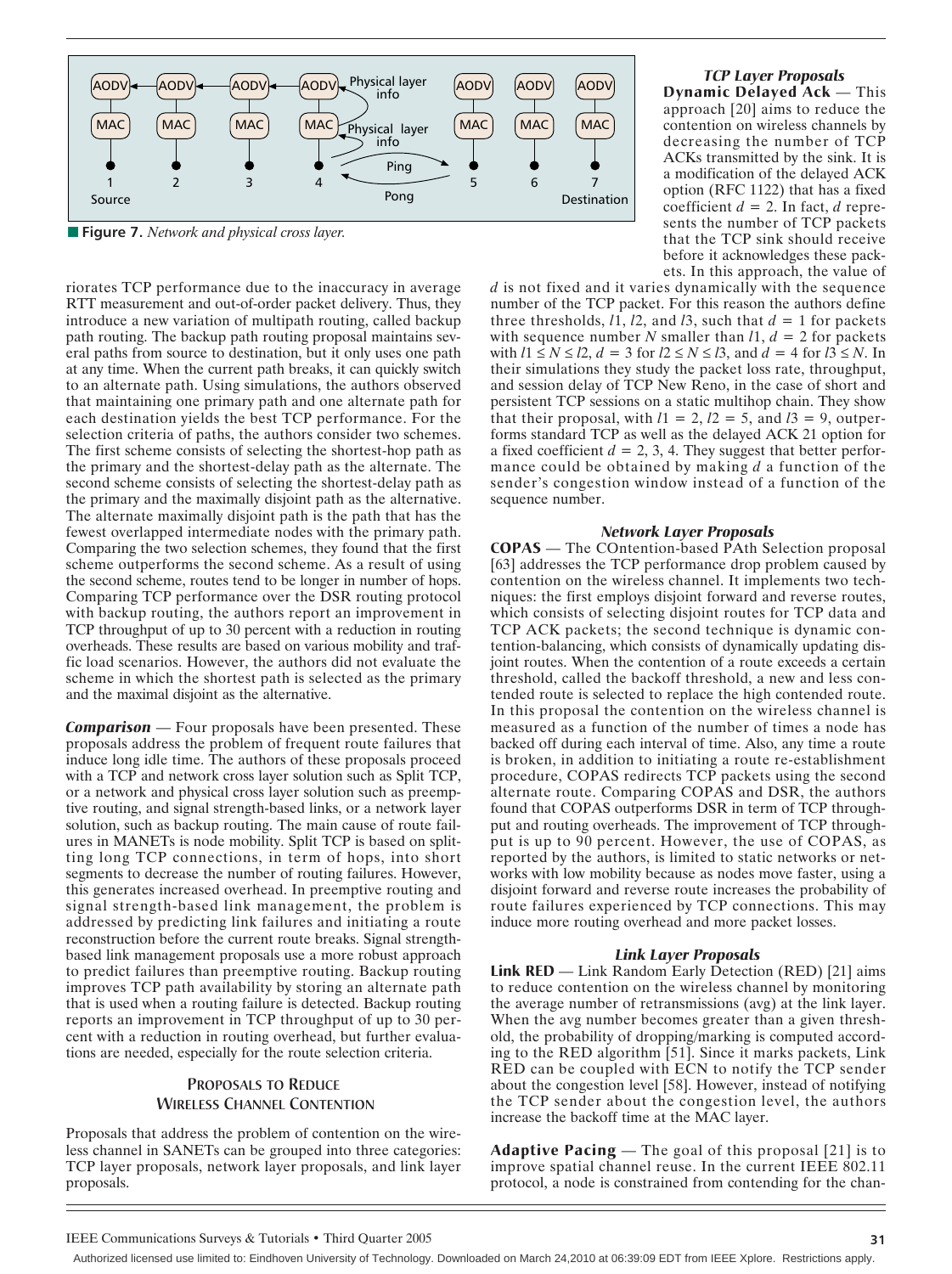

**■ Figure 7.** *Network and physical cross layer.*

riorates TCP performance due to the inaccuracy in average RTT measurement and out-of-order packet delivery. Thus, they introduce a new variation of multipath routing, called backup path routing. The backup path routing proposal maintains several paths from source to destination, but it only uses one path at any time. When the current path breaks, it can quickly switch to an alternate path. Using simulations, the authors observed that maintaining one primary path and one alternate path for each destination yields the best TCP performance. For the selection criteria of paths, the authors consider two schemes. The first scheme consists of selecting the shortest-hop path as the primary and the shortest-delay path as the alternate. The second scheme consists of selecting the shortest-delay path as the primary and the maximally disjoint path as the alternative. The alternate maximally disjoint path is the path that has the fewest overlapped intermediate nodes with the primary path. Comparing the two selection schemes, they found that the first scheme outperforms the second scheme. As a result of using the second scheme, routes tend to be longer in number of hops. Comparing TCP performance over the DSR routing protocol with backup routing, the authors report an improvement in TCP throughput of up to 30 percent with a reduction in routing overheads. These results are based on various mobility and traffic load scenarios. However, the authors did not evaluate the scheme in which the shortest path is selected as the primary and the maximal disjoint as the alternative.

*Comparison* — Four proposals have been presented. These proposals address the problem of frequent route failures that induce long idle time. The authors of these proposals proceed with a TCP and network cross layer solution such as Split TCP, or a network and physical cross layer solution such as preemptive routing, and signal strength-based links, or a network layer solution, such as backup routing. The main cause of route failures in MANETs is node mobility. Split TCP is based on splitting long TCP connections, in term of hops, into short segments to decrease the number of routing failures. However, this generates increased overhead. In preemptive routing and signal strength-based link management, the problem is addressed by predicting link failures and initiating a route reconstruction before the current route breaks. Signal strengthbased link management proposals use a more robust approach to predict failures than preemptive routing. Backup routing improves TCP path availability by storing an alternate path that is used when a routing failure is detected. Backup routing reports an improvement in TCP throughput of up to 30 percent with a reduction in routing overhead, but further evaluations are needed, especially for the route selection criteria.

### **PROPOSALS TO REDUCE WIRELESS CHANNEL CONTENTION**

Proposals that address the problem of contention on the wireless channel in SANETs can be grouped into three categories: TCP layer proposals, network layer proposals, and link layer proposals.

*TCP Layer Proposals* **Dynamic Delayed Ack** — This approach [20] aims to reduce the contention on wireless channels by decreasing the number of TCP ACKs transmitted by the sink. It is a modification of the delayed ACK option (RFC 1122) that has a fixed coefficient  $d = 2$ . In fact, *d* represents the number of TCP packets that the TCP sink should receive before it acknowledges these packets. In this approach, the value of

*d* is not fixed and it varies dynamically with the sequence number of the TCP packet. For this reason the authors define three thresholds,  $l1$ ,  $l2$ , and  $l3$ , such that  $d = 1$  for packets with sequence number *N* smaller than  $l1$ ,  $d = 2$  for packets with *l*1 ≤ *N* ≤ *l*2, *d* = 3 for *l*2 ≤ *N* ≤ *l*3, and *d* = 4 for *l*3 ≤ *N*. In their simulations they study the packet loss rate, throughput, and session delay of TCP New Reno, in the case of short and persistent TCP sessions on a static multihop chain. They show that their proposal, with  $l1 = 2$ ,  $l2 = 5$ , and  $l3 = 9$ , outperforms standard TCP as well as the delayed ACK 21 option for a fixed coefficient  $d = 2, 3, 4$ . They suggest that better performance could be obtained by making *d* a function of the sender's congestion window instead of a function of the sequence number.

#### *Network Layer Proposals*

**COPAS** — The COntention-based PAth Selection proposal [63] addresses the TCP performance drop problem caused by contention on the wireless channel. It implements two techniques: the first employs disjoint forward and reverse routes, which consists of selecting disjoint routes for TCP data and TCP ACK packets; the second technique is dynamic contention-balancing, which consists of dynamically updating disjoint routes. When the contention of a route exceeds a certain threshold, called the backoff threshold, a new and less contended route is selected to replace the high contended route. In this proposal the contention on the wireless channel is measured as a function of the number of times a node has backed off during each interval of time. Also, any time a route is broken, in addition to initiating a route re-establishment procedure, COPAS redirects TCP packets using the second alternate route. Comparing COPAS and DSR, the authors found that COPAS outperforms DSR in term of TCP throughput and routing overheads. The improvement of TCP throughput is up to 90 percent. However, the use of COPAS, as reported by the authors, is limited to static networks or networks with low mobility because as nodes move faster, using a disjoint forward and reverse route increases the probability of route failures experienced by TCP connections. This may induce more routing overhead and more packet losses.

#### *Link Layer Proposals*

**Link RED** — Link Random Early Detection (RED) [21] aims to reduce contention on the wireless channel by monitoring the average number of retransmissions (avg) at the link layer. When the avg number becomes greater than a given threshold, the probability of dropping/marking is computed according to the RED algorithm [51]. Since it marks packets, Link RED can be coupled with ECN to notify the TCP sender about the congestion level [58]. However, instead of notifying the TCP sender about the congestion level, the authors increase the backoff time at the MAC layer.

**Adaptive Pacing** — The goal of this proposal [21] is to improve spatial channel reuse. In the current IEEE 802.11 protocol, a node is constrained from contending for the chan-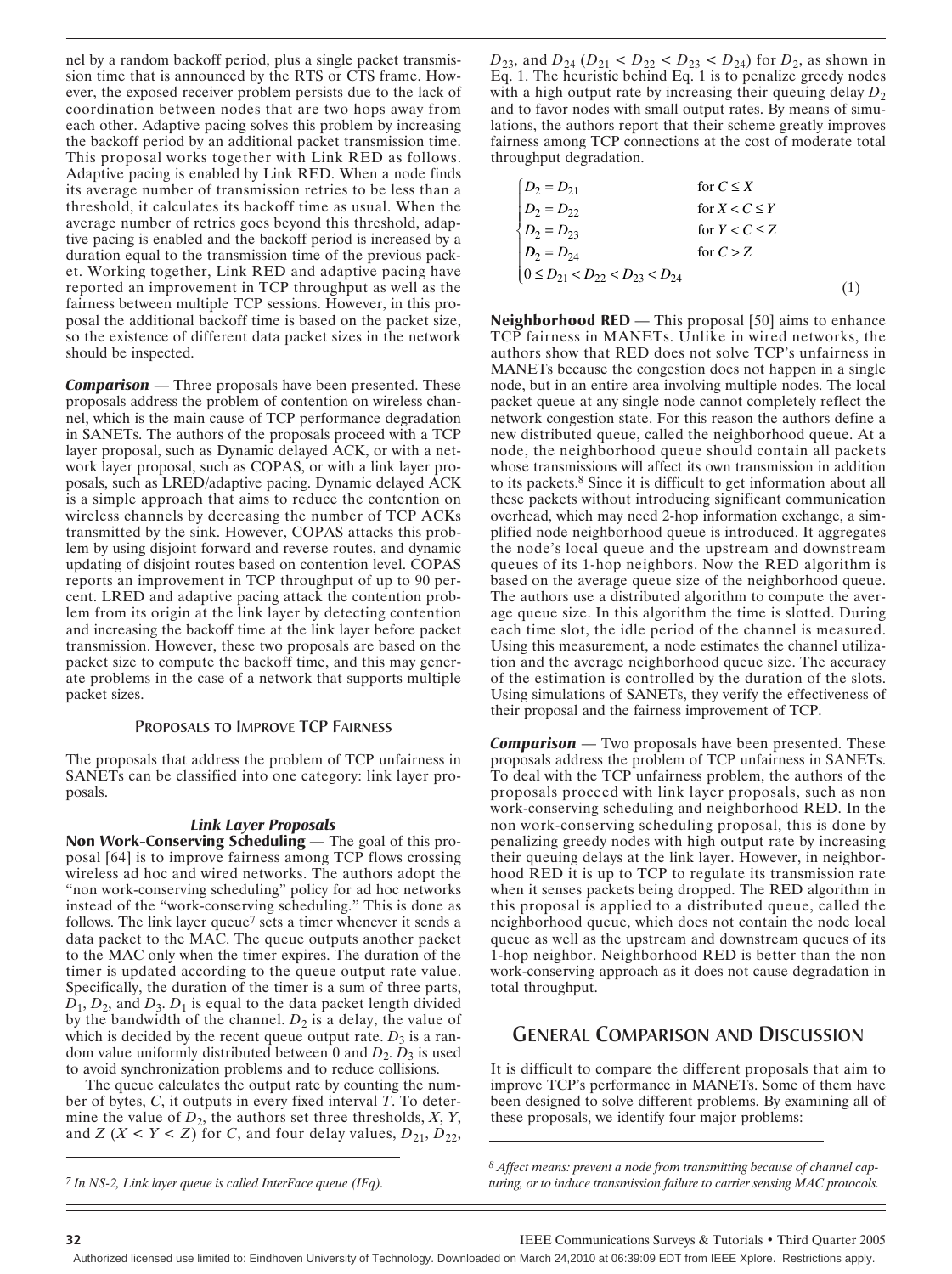nel by a random backoff period, plus a single packet transmission time that is announced by the RTS or CTS frame. However, the exposed receiver problem persists due to the lack of coordination between nodes that are two hops away from each other. Adaptive pacing solves this problem by increasing the backoff period by an additional packet transmission time. This proposal works together with Link RED as follows. Adaptive pacing is enabled by Link RED. When a node finds its average number of transmission retries to be less than a threshold, it calculates its backoff time as usual. When the average number of retries goes beyond this threshold, adaptive pacing is enabled and the backoff period is increased by a duration equal to the transmission time of the previous packet. Working together, Link RED and adaptive pacing have reported an improvement in TCP throughput as well as the fairness between multiple TCP sessions. However, in this proposal the additional backoff time is based on the packet size, so the existence of different data packet sizes in the network should be inspected.

*Comparison* — Three proposals have been presented. These proposals address the problem of contention on wireless channel, which is the main cause of TCP performance degradation in SANETs. The authors of the proposals proceed with a TCP layer proposal, such as Dynamic delayed ACK, or with a network layer proposal, such as COPAS, or with a link layer proposals, such as LRED/adaptive pacing. Dynamic delayed ACK is a simple approach that aims to reduce the contention on wireless channels by decreasing the number of TCP ACKs transmitted by the sink. However, COPAS attacks this problem by using disjoint forward and reverse routes, and dynamic updating of disjoint routes based on contention level. COPAS reports an improvement in TCP throughput of up to 90 percent. LRED and adaptive pacing attack the contention problem from its origin at the link layer by detecting contention and increasing the backoff time at the link layer before packet transmission. However, these two proposals are based on the packet size to compute the backoff time, and this may generate problems in the case of a network that supports multiple packet sizes.

#### **PROPOSALS TO IMPROVE TCP FAIRNESS**

The proposals that address the problem of TCP unfairness in SANETs can be classified into one category: link layer proposals.

#### *Link Layer Proposals*

**Non Work-Conserving Scheduling** — The goal of this proposal [64] is to improve fairness among TCP flows crossing wireless ad hoc and wired networks. The authors adopt the "non work-conserving scheduling" policy for ad hoc networks instead of the "work-conserving scheduling." This is done as follows. The link layer queue<sup>7</sup> sets a timer whenever it sends a data packet to the MAC. The queue outputs another packet to the MAC only when the timer expires. The duration of the timer is updated according to the queue output rate value. Specifically, the duration of the timer is a sum of three parts,  $D_1, D_2$ , and  $D_3$ .  $D_1$  is equal to the data packet length divided by the bandwidth of the channel.  $D_2$  is a delay, the value of which is decided by the recent queue output rate.  $D_3$  is a random value uniformly distributed between 0 and  $D_2$ .  $D_3$  is used to avoid synchronization problems and to reduce collisions.

The queue calculates the output rate by counting the number of bytes, *C*, it outputs in every fixed interval *T*. To determine the value of  $D_2$ , the authors set three thresholds,  $X$ ,  $Y$ , and *Z* (*X* < *Y* < *Z*) for *C*, and four delay values,  $D_{21}$ ,  $D_{22}$ , *D*<sub>23</sub>, and *D*<sub>24</sub> (*D*<sub>21</sub> < *D*<sub>22</sub> < *D*<sub>23</sub> < *D*<sub>24</sub>) for *D*<sub>2</sub>, as shown in Eq. 1. The heuristic behind Eq. 1 is to penalize greedy nodes with a high output rate by increasing their queuing delay  $D_2$ and to favor nodes with small output rates. By means of simulations, the authors report that their scheme greatly improves fairness among TCP connections at the cost of moderate total throughput degradation.

$$
\begin{cases}\nD_2 = D_{21} & \text{for } C \le X \\
D_2 = D_{22} & \text{for } X < C \le Y \\
D_2 = D_{23} & \text{for } Y < C \le Z \\
D_2 = D_{24} & \text{for } C > Z \\
0 \le D_{21} < D_{22} < D_{23} < D_{24}\n\end{cases} \tag{1}
$$

**Neighborhood RED** — This proposal [50] aims to enhance TCP fairness in MANETs. Unlike in wired networks, the authors show that RED does not solve TCP's unfairness in MANETs because the congestion does not happen in a single node, but in an entire area involving multiple nodes. The local packet queue at any single node cannot completely reflect the network congestion state. For this reason the authors define a new distributed queue, called the neighborhood queue. At a node, the neighborhood queue should contain all packets whose transmissions will affect its own transmission in addition to its packets.8 Since it is difficult to get information about all these packets without introducing significant communication overhead, which may need 2-hop information exchange, a simplified node neighborhood queue is introduced. It aggregates the node's local queue and the upstream and downstream queues of its 1-hop neighbors. Now the RED algorithm is based on the average queue size of the neighborhood queue. The authors use a distributed algorithm to compute the average queue size. In this algorithm the time is slotted. During each time slot, the idle period of the channel is measured. Using this measurement, a node estimates the channel utilization and the average neighborhood queue size. The accuracy of the estimation is controlled by the duration of the slots. Using simulations of SANETs, they verify the effectiveness of their proposal and the fairness improvement of TCP.

*Comparison* — Two proposals have been presented. These proposals address the problem of TCP unfairness in SANETs. To deal with the TCP unfairness problem, the authors of the proposals proceed with link layer proposals, such as non work-conserving scheduling and neighborhood RED. In the non work-conserving scheduling proposal, this is done by penalizing greedy nodes with high output rate by increasing their queuing delays at the link layer. However, in neighborhood RED it is up to TCP to regulate its transmission rate when it senses packets being dropped. The RED algorithm in this proposal is applied to a distributed queue, called the neighborhood queue, which does not contain the node local queue as well as the upstream and downstream queues of its 1-hop neighbor. Neighborhood RED is better than the non work-conserving approach as it does not cause degradation in total throughput.

### **GENERAL COMPARISON AND DISCUSSION**

It is difficult to compare the different proposals that aim to improve TCP's performance in MANETs. Some of them have been designed to solve different problems. By examining all of these proposals, we identify four major problems:

*<sup>8</sup> Affect means: prevent a node from transmitting because of channel capturing, or to induce transmission failure to carrier sensing MAC protocols.*

**32** IEEE Communications Surveys & Tutorials • Third Quarter 2005

Authorized licensed use limited to: Eindhoven University of Technology. Downloaded on March 24,2010 at 06:39:09 EDT from IEEE Xplore. Restrictions apply.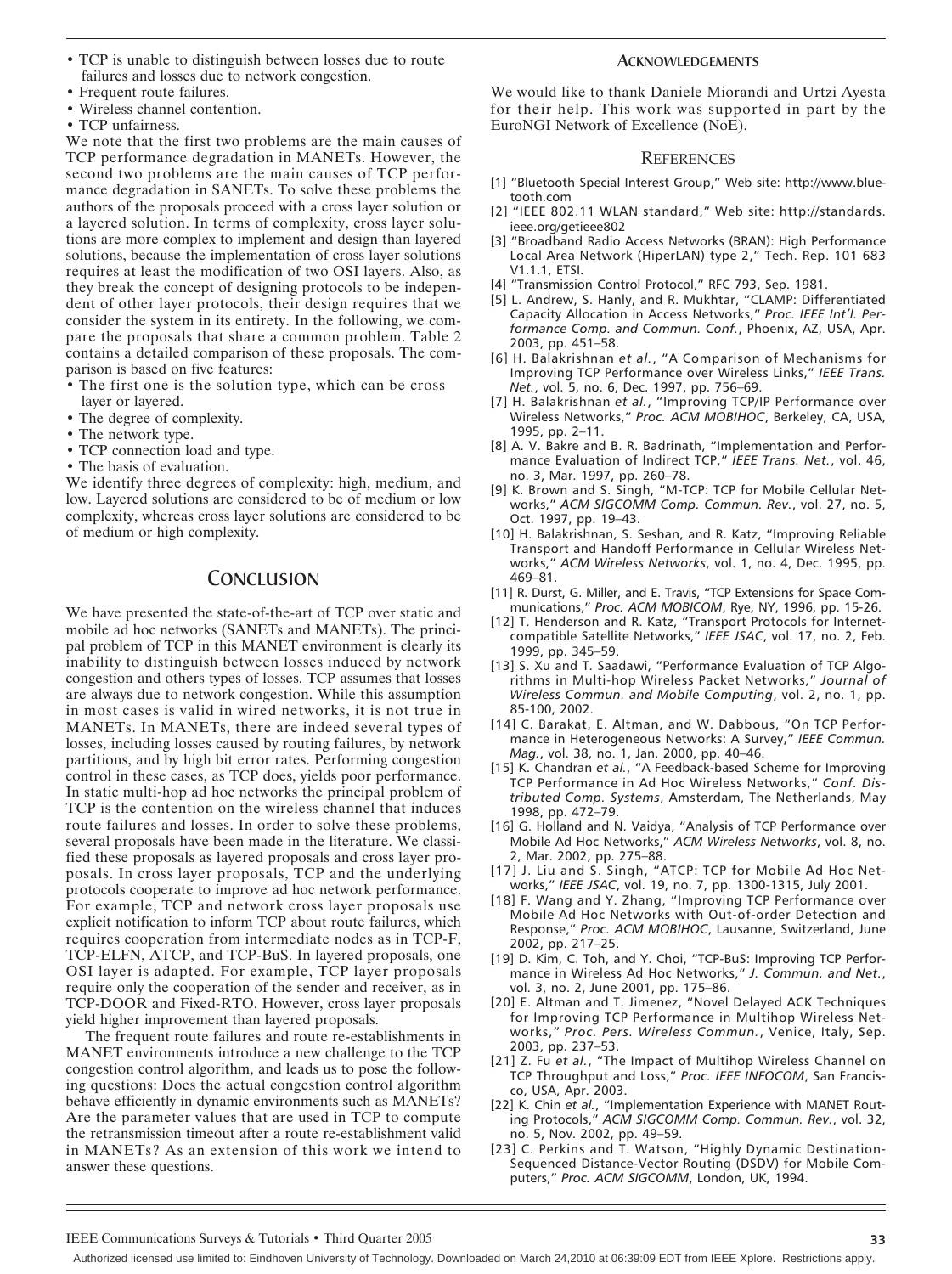- TCP is unable to distinguish between losses due to route failures and losses due to network congestion.
- Frequent route failures.
- Wireless channel contention.
- TCP unfairness.

We note that the first two problems are the main causes of TCP performance degradation in MANETs. However, the second two problems are the main causes of TCP performance degradation in SANETs. To solve these problems the authors of the proposals proceed with a cross layer solution or a layered solution. In terms of complexity, cross layer solutions are more complex to implement and design than layered solutions, because the implementation of cross layer solutions requires at least the modification of two OSI layers. Also, as they break the concept of designing protocols to be independent of other layer protocols, their design requires that we consider the system in its entirety. In the following, we compare the proposals that share a common problem. Table 2 contains a detailed comparison of these proposals. The comparison is based on five features:

- The first one is the solution type, which can be cross layer or layered.
- The degree of complexity.
- The network type.
- TCP connection load and type.
- The basis of evaluation.

We identify three degrees of complexity: high, medium, and low. Layered solutions are considered to be of medium or low complexity, whereas cross layer solutions are considered to be of medium or high complexity.

## **CONCLUSION**

We have presented the state-of-the-art of TCP over static and mobile ad hoc networks (SANETs and MANETs). The principal problem of TCP in this MANET environment is clearly its inability to distinguish between losses induced by network congestion and others types of losses. TCP assumes that losses are always due to network congestion. While this assumption in most cases is valid in wired networks, it is not true in MANETs. In MANETs, there are indeed several types of losses, including losses caused by routing failures, by network partitions, and by high bit error rates. Performing congestion control in these cases, as TCP does, yields poor performance. In static multi-hop ad hoc networks the principal problem of TCP is the contention on the wireless channel that induces route failures and losses. In order to solve these problems, several proposals have been made in the literature. We classified these proposals as layered proposals and cross layer proposals. In cross layer proposals, TCP and the underlying protocols cooperate to improve ad hoc network performance. For example, TCP and network cross layer proposals use explicit notification to inform TCP about route failures, which requires cooperation from intermediate nodes as in TCP-F, TCP-ELFN, ATCP, and TCP-BuS. In layered proposals, one OSI layer is adapted. For example, TCP layer proposals require only the cooperation of the sender and receiver, as in TCP-DOOR and Fixed-RTO. However, cross layer proposals yield higher improvement than layered proposals.

The frequent route failures and route re-establishments in MANET environments introduce a new challenge to the TCP congestion control algorithm, and leads us to pose the following questions: Does the actual congestion control algorithm behave efficiently in dynamic environments such as MANETs? Are the parameter values that are used in TCP to compute the retransmission timeout after a route re-establishment valid in MANETs? As an extension of this work we intend to answer these questions.

#### **ACKNOWLEDGEMENTS**

We would like to thank Daniele Miorandi and Urtzi Ayesta for their help. This work was supported in part by the EuroNGI Network of Excellence (NoE).

#### **REFERENCES**

- [1] "Bluetooth Special Interest Group," Web site: http://www.bluetooth.com
- [2] "IEEE 802.11 WLAN standard," Web site: http://standards. ieee.org/getieee802
- [3] "Broadband Radio Access Networks (BRAN): High Performance Local Area Network (HiperLAN) type 2," Tech. Rep. 101 683 V1.1.1, ETSI.
- [4] "Transmission Control Protocol," RFC 793, Sep. 1981.
- [5] L. Andrew, S. Hanly, and R. Mukhtar, "CLAMP: Differentiated Capacity Allocation in Access Networks," *Proc. IEEE Int'l. Performance Comp. and Commun. Conf.*, Phoenix, AZ, USA, Apr. 2003, pp. 451–58.
- [6] H. Balakrishnan *et al.*, "A Comparison of Mechanisms for Improving TCP Performance over Wireless Links," *IEEE Trans. Net.*, vol. 5, no. 6, Dec. 1997, pp. 756–69.
- [7] H. Balakrishnan *et al.*, "Improving TCP/IP Performance over Wireless Networks," *Proc. ACM MOBIHOC*, Berkeley, CA, USA, 1995, pp. 2–11.
- [8] A. V. Bakre and B. R. Badrinath, "Implementation and Performance Evaluation of Indirect TCP," *IEEE Trans. Net.*, vol. 46, no. 3, Mar. 1997, pp. 260–78.
- [9] K. Brown and S. Singh, "M-TCP: TCP for Mobile Cellular Networks," *ACM SIGCOMM Comp. Commun. Rev.*, vol. 27, no. 5, Oct. 1997, pp. 19–43.
- [10] H. Balakrishnan, S. Seshan, and R. Katz, "Improving Reliable Transport and Handoff Performance in Cellular Wireless Networks," *ACM Wireless Networks*, vol. 1, no. 4, Dec. 1995, pp. 469–81.
- [11] R. Durst, G. Miller, and E. Travis, "TCP Extensions for Space Communications," *Proc. ACM MOBICOM*, Rye, NY, 1996, pp. 15-26.
- [12] T. Henderson and R. Katz, "Transport Protocols for Internetcompatible Satellite Networks," *IEEE JSAC*, vol. 17, no. 2, Feb. 1999, pp. 345–59.
- [13] S. Xu and T. Saadawi, "Performance Evaluation of TCP Algorithms in Multi-hop Wireless Packet Networks," *Journal of Wireless Commun. and Mobile Computing*, vol. 2, no. 1, pp. 85-100, 2002.
- [14] C. Barakat, E. Altman, and W. Dabbous, "On TCP Performance in Heterogeneous Networks: A Survey," *IEEE Commun. Mag.*, vol. 38, no. 1, Jan. 2000, pp. 40–46.
- [15] K. Chandran *et al.*, "A Feedback-based Scheme for Improving TCP Performance in Ad Hoc Wireless Networks," *Conf. Distributed Comp. Systems*, Amsterdam, The Netherlands, May 1998, pp. 472–79.
- [16] G. Holland and N. Vaidya, "Analysis of TCP Performance over Mobile Ad Hoc Networks," *ACM Wireless Networks*, vol. 8, no. 2, Mar. 2002, pp. 275–88.
- [17] J. Liu and S. Singh, "ATCP: TCP for Mobile Ad Hoc Networks," *IEEE JSAC*, vol. 19, no. 7, pp. 1300-1315, July 2001.
- [18] F. Wang and Y. Zhang, "Improving TCP Performance over Mobile Ad Hoc Networks with Out-of-order Detection and Response," *Proc. ACM MOBIHOC*, Lausanne, Switzerland, June 2002, pp. 217–25.
- [19] D. Kim, C. Toh, and Y. Choi, "TCP-BuS: Improving TCP Performance in Wireless Ad Hoc Networks," *J. Commun. and Net.*, vol. 3, no. 2, June 2001, pp. 175–86.
- [20] E. Altman and T. Jimenez, "Novel Delayed ACK Techniques for Improving TCP Performance in Multihop Wireless Networks," *Proc. Pers. Wireless Commun.*, Venice, Italy, Sep. 2003, pp. 237–53.
- [21] Z. Fu *et al.*, "The Impact of Multihop Wireless Channel on TCP Throughput and Loss," *Proc. IEEE INFOCOM*, San Francisco, USA, Apr. 2003.
- [22] K. Chin *et al.*, "Implementation Experience with MANET Routing Protocols," *ACM SIGCOMM Comp. Commun. Rev.*, vol. 32, no. 5, Nov. 2002, pp. 49–59.
- [23] C. Perkins and T. Watson, "Highly Dynamic Destination-Sequenced Distance-Vector Routing (DSDV) for Mobile Computers," *Proc. ACM SIGCOMM*, London, UK, 1994.

#### IEEE Communications Surveys & Tutorials • Third Quarter 2005 **33**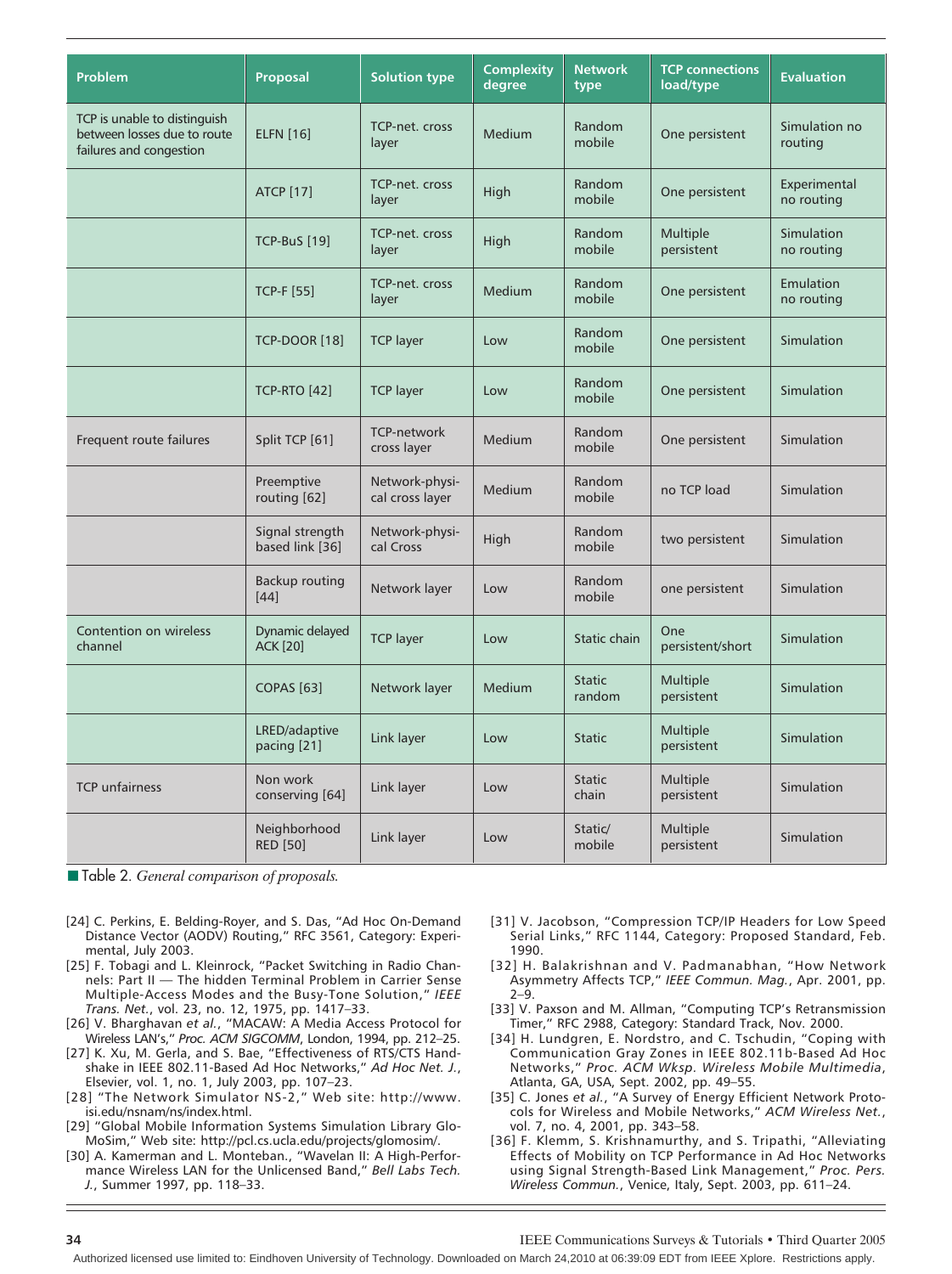| Problem                                                                                | Proposal                           | <b>Solution type</b>              | <b>Complexity</b><br>degree | <b>Network</b><br>type  | <b>TCP connections</b><br>load/type | <b>Evaluation</b>               |
|----------------------------------------------------------------------------------------|------------------------------------|-----------------------------------|-----------------------------|-------------------------|-------------------------------------|---------------------------------|
| TCP is unable to distinguish<br>between losses due to route<br>failures and congestion | <b>ELFN</b> [16]                   | TCP-net. cross<br>layer           | <b>Medium</b>               | Random<br>mobile        | One persistent                      | Simulation no<br>routing        |
|                                                                                        | <b>ATCP</b> [17]                   | TCP-net. cross<br>layer           | High                        | Random<br>mobile        | One persistent                      | Experimental<br>no routing      |
|                                                                                        | <b>TCP-BuS [19]</b>                | TCP-net. cross<br>layer           | High                        | Random<br>mobile        | Multiple<br>persistent              | <b>Simulation</b><br>no routing |
|                                                                                        | <b>TCP-F</b> [55]                  | TCP-net. cross<br>layer           | <b>Medium</b>               | Random<br>mobile        | One persistent                      | <b>Emulation</b><br>no routing  |
|                                                                                        | <b>TCP-DOOR [18]</b>               | <b>TCP layer</b>                  | Low                         | Random<br>mobile        | One persistent                      | Simulation                      |
|                                                                                        | <b>TCP-RTO [42]</b>                | <b>TCP layer</b>                  | Low                         | Random<br>mobile        | One persistent                      | <b>Simulation</b>               |
| Frequent route failures                                                                | Split TCP [61]                     | <b>TCP-network</b><br>cross layer | Medium                      | Random<br>mobile        | One persistent                      | Simulation                      |
|                                                                                        | Preemptive<br>routing [62]         | Network-physi-<br>cal cross layer | <b>Medium</b>               | Random<br>mobile        | no TCP load                         | Simulation                      |
|                                                                                        | Signal strength<br>based link [36] | Network-physi-<br>cal Cross       | High                        | Random<br>mobile        | two persistent                      | Simulation                      |
|                                                                                        | Backup routing<br>[44]             | Network layer                     | Low                         | Random<br>mobile        | one persistent                      | Simulation                      |
| Contention on wireless<br>channel                                                      | Dynamic delayed<br><b>ACK [20]</b> | <b>TCP layer</b>                  | Low                         | Static chain            | One<br>persistent/short             | Simulation                      |
|                                                                                        | <b>COPAS [63]</b>                  | Network layer                     | <b>Medium</b>               | <b>Static</b><br>random | Multiple<br>persistent              | Simulation                      |
|                                                                                        | LRED/adaptive<br>pacing [21]       | Link layer                        | Low                         | <b>Static</b>           | <b>Multiple</b><br>persistent       | Simulation                      |
| <b>TCP</b> unfairness                                                                  | Non work<br>conserving [64]        | Link layer                        | Low                         | <b>Static</b><br>chain  | Multiple<br>persistent              | Simulation                      |
|                                                                                        | Neighborhood<br><b>RED [50]</b>    | Link layer                        | Low                         | Static/<br>mobile       | <b>Multiple</b><br>persistent       | Simulation                      |

**■** Table 2. *General comparison of proposals.*

- [24] C. Perkins, E. Belding-Royer, and S. Das, "Ad Hoc On-Demand Distance Vector (AODV) Routing," RFC 3561, Category: Experimental, July 2003.
- [25] F. Tobagi and L. Kleinrock, "Packet Switching in Radio Channels: Part II — The hidden Terminal Problem in Carrier Sense Multiple-Access Modes and the Busy-Tone Solution," *IEEE Trans. Net.*, vol. 23, no. 12, 1975, pp. 1417–33.
- [26] V. Bharghavan *et al.*, "MACAW: A Media Access Protocol for Wireless LAN's," *Proc. ACM SIGCOMM*, London, 1994, pp. 212–25.
- [27] K. Xu, M. Gerla, and S. Bae, "Effectiveness of RTS/CTS Handshake in IEEE 802.11-Based Ad Hoc Networks," *Ad Hoc Net. J.*, Elsevier, vol. 1, no. 1, July 2003, pp. 107–23.
- [28] "The Network Simulator NS-2," Web site: http://www. isi.edu/nsnam/ns/index.html.
- [29] "Global Mobile Information Systems Simulation Library Glo-MoSim," Web site: http://pcl.cs.ucla.edu/projects/glomosim/.
- [30] A. Kamerman and L. Monteban., "Wavelan II: A High-Performance Wireless LAN for the Unlicensed Band," *Bell Labs Tech. J.*, Summer 1997, pp. 118–33.
- [31] V. Jacobson, "Compression TCP/IP Headers for Low Speed Serial Links," RFC 1144, Category: Proposed Standard, Feb. 1990.
- [32] H. Balakrishnan and V. Padmanabhan, "How Network Asymmetry Affects TCP," *IEEE Commun. Mag.*, Apr. 2001, pp.  $2-9.$
- [33] V. Paxson and M. Allman, "Computing TCP's Retransmission Timer," RFC 2988, Category: Standard Track, Nov. 2000.
- [34] H. Lundgren, E. Nordstro, and C. Tschudin, "Coping with Communication Gray Zones in IEEE 802.11b-Based Ad Hoc Networks," *Proc. ACM Wksp. Wireless Mobile Multimedia*, Atlanta, GA, USA, Sept. 2002, pp. 49–55.
- [35] C. Jones et al., "A Survey of Energy Efficient Network Protocols for Wireless and Mobile Networks," *ACM Wireless Net.*, vol. 7, no. 4, 2001, pp. 343–58.
- [36] F. Klemm, S. Krishnamurthy, and S. Tripathi, "Alleviating Effects of Mobility on TCP Performance in Ad Hoc Networks using Signal Strength-Based Link Management," *Proc. Pers. Wireless Commun.*, Venice, Italy, Sept. 2003, pp. 611–24.

#### **34** IEEE Communications Surveys & Tutorials • Third Quarter 2005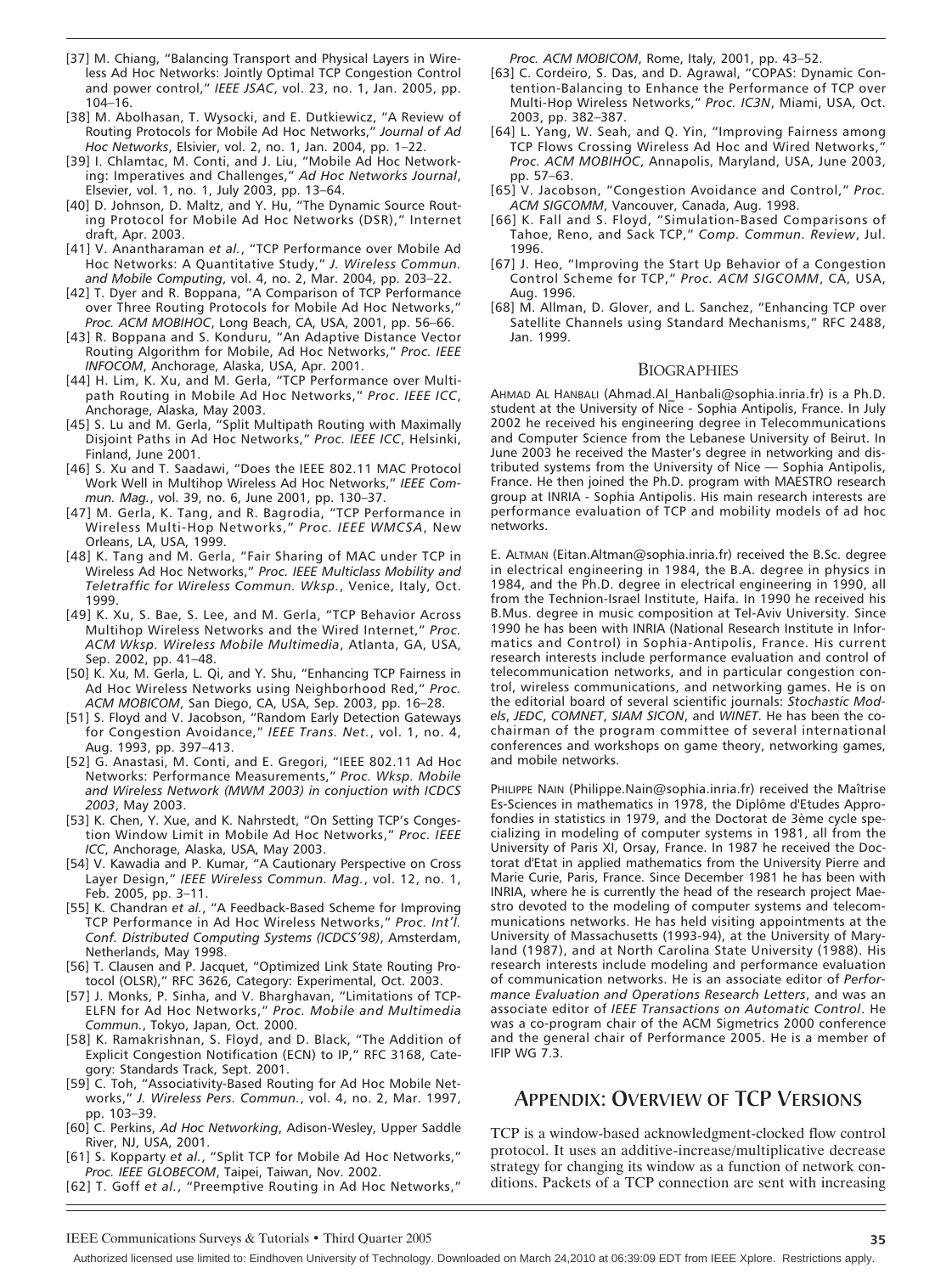- [37] M. Chiang, "Balancing Transport and Physical Layers in Wireless Ad Hoc Networks: Jointly Optimal TCP Congestion Control and power control," *IEEE JSAC*, vol. 23, no. 1, Jan. 2005, pp. 104–16.
- [38] M. Abolhasan, T. Wysocki, and E. Dutkiewicz, "A Review of Routing Protocols for Mobile Ad Hoc Networks," *Journal of Ad Hoc Networks*, Elsivier, vol. 2, no. 1, Jan. 2004, pp. 1–22.
- [39] I. Chlamtac, M. Conti, and J. Liu, "Mobile Ad Hoc Networking: Imperatives and Challenges," *Ad Hoc Networks Journal*, Elsevier, vol. 1, no. 1, July 2003, pp. 13–64.
- [40] D. Johnson, D. Maltz, and Y. Hu, "The Dynamic Source Routing Protocol for Mobile Ad Hoc Networks (DSR)," Internet draft, Apr. 2003.
- [41] V. Anantharaman *et al.*, "TCP Performance over Mobile Ad Hoc Networks: A Quantitative Study," *J. Wireless Commun. and Mobile Computing*, vol. 4, no. 2, Mar. 2004, pp. 203–22.
- [42] T. Dyer and R. Boppana, "A Comparison of TCP Performance over Three Routing Protocols for Mobile Ad Hoc Networks," *Proc. ACM MOBIHOC*, Long Beach, CA, USA, 2001, pp. 56–66.
- [43] R. Boppana and S. Konduru, "An Adaptive Distance Vector Routing Algorithm for Mobile, Ad Hoc Networks," *Proc. IEEE INFOCOM*, Anchorage, Alaska, USA, Apr. 2001.
- [44] H. Lim, K. Xu, and M. Gerla, "TCP Performance over Multipath Routing in Mobile Ad Hoc Networks," *Proc. IEEE ICC*, Anchorage, Alaska, May 2003.
- [45] S. Lu and M. Gerla, "Split Multipath Routing with Maximally Disjoint Paths in Ad Hoc Networks," *Proc. IEEE ICC*, Helsinki, Finland, June 2001.
- [46] S. Xu and T. Saadawi, "Does the IEEE 802.11 MAC Protocol Work Well in Multihop Wireless Ad Hoc Networks," *IEEE Commun. Mag.*, vol. 39, no. 6, June 2001, pp. 130–37.
- [47] M. Gerla, K. Tang, and R. Bagrodia, "TCP Performance in Wireless Multi-Hop Networks," *Proc. IEEE WMCSA*, New Orleans, LA, USA, 1999.
- [48] K. Tang and M. Gerla, "Fair Sharing of MAC under TCP in Wireless Ad Hoc Networks," *Proc. IEEE Multiclass Mobility and Teletraffic for Wireless Commun. Wksp.*, Venice, Italy, Oct. 1999.
- [49] K. Xu, S. Bae, S. Lee, and M. Gerla, "TCP Behavior Across Multihop Wireless Networks and the Wired Internet," *Proc. ACM Wksp. Wireless Mobile Multimedia*, Atlanta, GA, USA, Sep. 2002, pp. 41–48.
- [50] K. Xu, M. Gerla, L. Qi, and Y. Shu, "Enhancing TCP Fairness in Ad Hoc Wireless Networks using Neighborhood Red," *Proc. ACM MOBICOM*, San Diego, CA, USA, Sep. 2003, pp. 16–28.
- [51] S. Floyd and V. Jacobson, "Random Early Detection Gateways for Congestion Avoidance," *IEEE Trans. Net.*, vol. 1, no. 4, Aug. 1993, pp. 397–413.
- [52] G. Anastasi, M. Conti, and E. Gregori, "IEEE 802.11 Ad Hoc Networks: Performance Measurements," *Proc. Wksp. Mobile and Wireless Network (MWM 2003) in conjuction with ICDCS 2003*, May 2003.
- [53] K. Chen, Y. Xue, and K. Nahrstedt, "On Setting TCP's Congestion Window Limit in Mobile Ad Hoc Networks," *Proc. IEEE ICC*, Anchorage, Alaska, USA, May 2003.
- [54] V. Kawadia and P. Kumar, "A Cautionary Perspective on Cross Layer Design," *IEEE Wireless Commun. Mag.*, vol. 12, no. 1, Feb. 2005, pp. 3–11.
- [55] K. Chandran *et al.*, "A Feedback-Based Scheme for Improving TCP Performance in Ad Hoc Wireless Networks," *Proc. Int'l. Conf. Distributed Computing Systems (ICDCS'98)*, Amsterdam, Netherlands, May 1998.
- [56] T. Clausen and P. Jacquet, "Optimized Link State Routing Protocol (OLSR)," RFC 3626, Category: Experimental, Oct. 2003.
- [57] J. Monks, P. Sinha, and V. Bharghavan, "Limitations of TCP-ELFN for Ad Hoc Networks," *Proc. Mobile and Multimedia Commun.*, Tokyo, Japan, Oct. 2000.
- [58] K. Ramakrishnan, S. Floyd, and D. Black, "The Addition of Explicit Congestion Notification (ECN) to IP," RFC 3168, Category: Standards Track, Sept. 2001.
- [59] C. Toh, "Associativity-Based Routing for Ad Hoc Mobile Networks," *J. Wireless Pers. Commun.*, vol. 4, no. 2, Mar. 1997, pp. 103–39.
- [60] C. Perkins, *Ad Hoc Networking*, Adison-Wesley, Upper Saddle River, NJ, USA, 2001.
- [61] S. Kopparty *et al.*, "Split TCP for Mobile Ad Hoc Networks," *Proc. IEEE GLOBECOM*, Taipei, Taiwan, Nov. 2002.

[62] T. Goff *et al.*, "Preemptive Routing in Ad Hoc Networks,"

*Proc. ACM MOBICOM*, Rome, Italy, 2001, pp. 43–52.

- [63] C. Cordeiro, S. Das, and D. Agrawal, "COPAS: Dynamic Contention-Balancing to Enhance the Performance of TCP over Multi-Hop Wireless Networks," *Proc. IC3N*, Miami, USA, Oct. 2003, pp. 382–387.
- [64] L. Yang, W. Seah, and Q. Yin, "Improving Fairness among TCP Flows Crossing Wireless Ad Hoc and Wired Networks," *Proc. ACM MOBIHOC*, Annapolis, Maryland, USA, June 2003, pp. 57–63.
- [65] V. Jacobson, "Congestion Avoidance and Control," *Proc. ACM SIGCOMM*, Vancouver, Canada, Aug. 1998.
- [66] K. Fall and S. Floyd, "Simulation-Based Comparisons of Tahoe, Reno, and Sack TCP," *Comp. Commun. Review*, Jul. 1996.
- [67] J. Heo, "Improving the Start Up Behavior of a Congestion Control Scheme for TCP," *Proc. ACM SIGCOMM*, CA, USA, Aug. 1996.
- [68] M. Allman, D. Glover, and L. Sanchez, "Enhancing TCP over Satellite Channels using Standard Mechanisms," RFC 2488, Jan. 1999.

#### **BIOGRAPHIES**

AHMAD AL HANBALI (Ahmad.Al Hanbali@sophia.inria.fr) is a Ph.D. student at the University of Nice - Sophia Antipolis, France. In July 2002 he received his engineering degree in Telecommunications and Computer Science from the Lebanese University of Beirut. In June 2003 he received the Master's degree in networking and distributed systems from the University of Nice — Sophia Antipolis, France. He then joined the Ph.D. program with MAESTRO research group at INRIA - Sophia Antipolis. His main research interests are performance evaluation of TCP and mobility models of ad hoc networks.

E. ALTMAN (Eitan.Altman@sophia.inria.fr) received the B.Sc. degree in electrical engineering in 1984, the B.A. degree in physics in 1984, and the Ph.D. degree in electrical engineering in 1990, all from the Technion-Israel Institute, Haifa. In 1990 he received his B.Mus. degree in music composition at Tel-Aviv University. Since 1990 he has been with INRIA (National Research Institute in Informatics and Control) in Sophia-Antipolis, France. His current research interests include performance evaluation and control of telecommunication networks, and in particular congestion control, wireless communications, and networking games. He is on the editorial board of several scientific journals: *Stochastic Models*, *JEDC*, *COMNET*, *SIAM SICON*, and *WINET*. He has been the cochairman of the program committee of several international conferences and workshops on game theory, networking games, and mobile networks.

PHILIPPE NAIN (Philippe.Nain@sophia.inria.fr) received the Maîtrise Es-Sciences in mathematics in 1978, the Diplôme d'Etudes Approfondies in statistics in 1979, and the Doctorat de 3ème cycle specializing in modeling of computer systems in 1981, all from the University of Paris XI, Orsay, France. In 1987 he received the Doctorat d'Etat in applied mathematics from the University Pierre and Marie Curie, Paris, France. Since December 1981 he has been with INRIA, where he is currently the head of the research project Maestro devoted to the modeling of computer systems and telecommunications networks. He has held visiting appointments at the University of Massachusetts (1993-94), at the University of Maryland (1987), and at North Carolina State University (1988). His research interests include modeling and performance evaluation of communication networks. He is an associate editor of *Performance Evaluation and Operations Research Letters*, and was an associate editor of *IEEE Transactions on Automatic Control*. He was a co-program chair of the ACM Sigmetrics 2000 conference and the general chair of Performance 2005. He is a member of IFIP WG 7.3.

## **APPENDIX: OVERVIEW OF TCP VERSIONS**

TCP is a window-based acknowledgment-clocked flow control protocol. It uses an additive-increase/multiplicative decrease strategy for changing its window as a function of network conditions. Packets of a TCP connection are sent with increasing

IEEE Communications Surveys & Tutorials • Third Quarter 2005 **35**